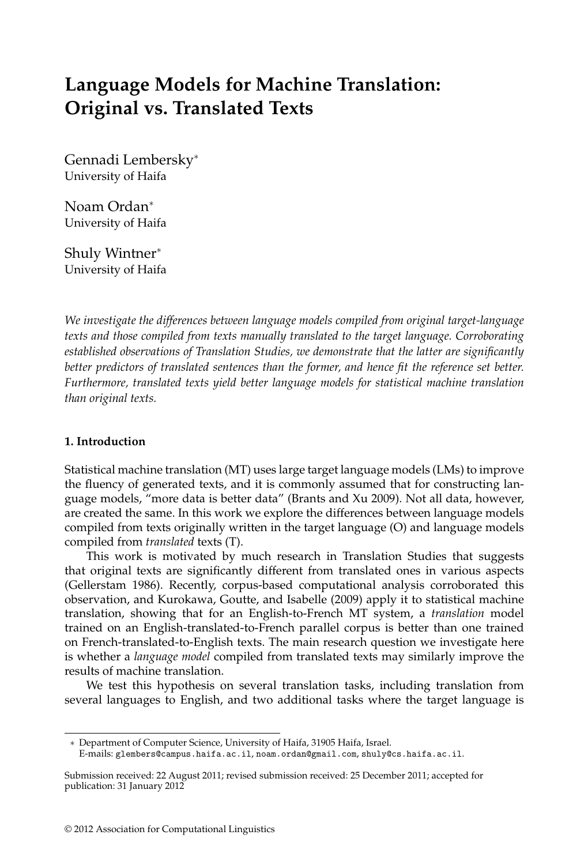# **Language Models for Machine Translation: Original vs. Translated Texts**

Gennadi Lembersky<sup>∗</sup> University of Haifa

Noam Ordan<sup>∗</sup> University of Haifa

Shuly Wintner<sup>∗</sup> University of Haifa

*We investigate the differences between language models compiled from original target-language texts and those compiled from texts manually translated to the target language. Corroborating established observations of Translation Studies, we demonstrate that the latter are significantly better predictors of translated sentences than the former, and hence fit the reference set better. Furthermore, translated texts yield better language models for statistical machine translation than original texts.*

## **1. Introduction**

Statistical machine translation (MT) uses large target language models (LMs) to improve the fluency of generated texts, and it is commonly assumed that for constructing language models, "more data is better data" (Brants and Xu 2009). Not all data, however, are created the same. In this work we explore the differences between language models compiled from texts originally written in the target language (O) and language models compiled from *translated* texts (T).

This work is motivated by much research in Translation Studies that suggests that original texts are significantly different from translated ones in various aspects (Gellerstam 1986). Recently, corpus-based computational analysis corroborated this observation, and Kurokawa, Goutte, and Isabelle (2009) apply it to statistical machine translation, showing that for an English-to-French MT system, a *translation* model trained on an English-translated-to-French parallel corpus is better than one trained on French-translated-to-English texts. The main research question we investigate here is whether a *language model* compiled from translated texts may similarly improve the results of machine translation.

We test this hypothesis on several translation tasks, including translation from several languages to English, and two additional tasks where the target language is

<sup>∗</sup> Department of Computer Science, University of Haifa, 31905 Haifa, Israel.

E-mails: glembers@campus.haifa.ac.il, noam.ordan@gmail.com, shuly@cs.haifa.ac.il.

Submission received: 22 August 2011; revised submission received: 25 December 2011; accepted for publication: 31 January 2012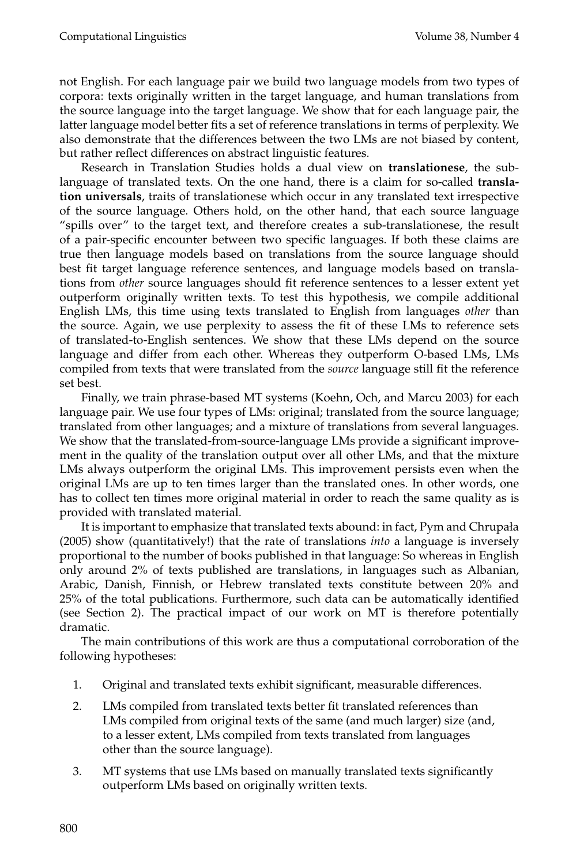not English. For each language pair we build two language models from two types of corpora: texts originally written in the target language, and human translations from the source language into the target language. We show that for each language pair, the latter language model better fits a set of reference translations in terms of perplexity. We also demonstrate that the differences between the two LMs are not biased by content, but rather reflect differences on abstract linguistic features.

Research in Translation Studies holds a dual view on **translationese**, the sublanguage of translated texts. On the one hand, there is a claim for so-called **translation universals**, traits of translationese which occur in any translated text irrespective of the source language. Others hold, on the other hand, that each source language "spills over" to the target text, and therefore creates a sub-translationese, the result of a pair-specific encounter between two specific languages. If both these claims are true then language models based on translations from the source language should best fit target language reference sentences, and language models based on translations from *other* source languages should fit reference sentences to a lesser extent yet outperform originally written texts. To test this hypothesis, we compile additional English LMs, this time using texts translated to English from languages *other* than the source. Again, we use perplexity to assess the fit of these LMs to reference sets of translated-to-English sentences. We show that these LMs depend on the source language and differ from each other. Whereas they outperform O-based LMs, LMs compiled from texts that were translated from the *source* language still fit the reference set best.

Finally, we train phrase-based MT systems (Koehn, Och, and Marcu 2003) for each language pair. We use four types of LMs: original; translated from the source language; translated from other languages; and a mixture of translations from several languages. We show that the translated-from-source-language LMs provide a significant improvement in the quality of the translation output over all other LMs, and that the mixture LMs always outperform the original LMs. This improvement persists even when the original LMs are up to ten times larger than the translated ones. In other words, one has to collect ten times more original material in order to reach the same quality as is provided with translated material.

It is important to emphasize that translated texts abound: in fact, Pym and Chrupała (2005) show (quantitatively!) that the rate of translations *into* a language is inversely proportional to the number of books published in that language: So whereas in English only around 2% of texts published are translations, in languages such as Albanian, Arabic, Danish, Finnish, or Hebrew translated texts constitute between 20% and 25% of the total publications. Furthermore, such data can be automatically identified (see Section 2). The practical impact of our work on MT is therefore potentially dramatic.

The main contributions of this work are thus a computational corroboration of the following hypotheses:

- 1. Original and translated texts exhibit significant, measurable differences.
- 2. LMs compiled from translated texts better fit translated references than LMs compiled from original texts of the same (and much larger) size (and, to a lesser extent, LMs compiled from texts translated from languages other than the source language).
- 3. MT systems that use LMs based on manually translated texts significantly outperform LMs based on originally written texts.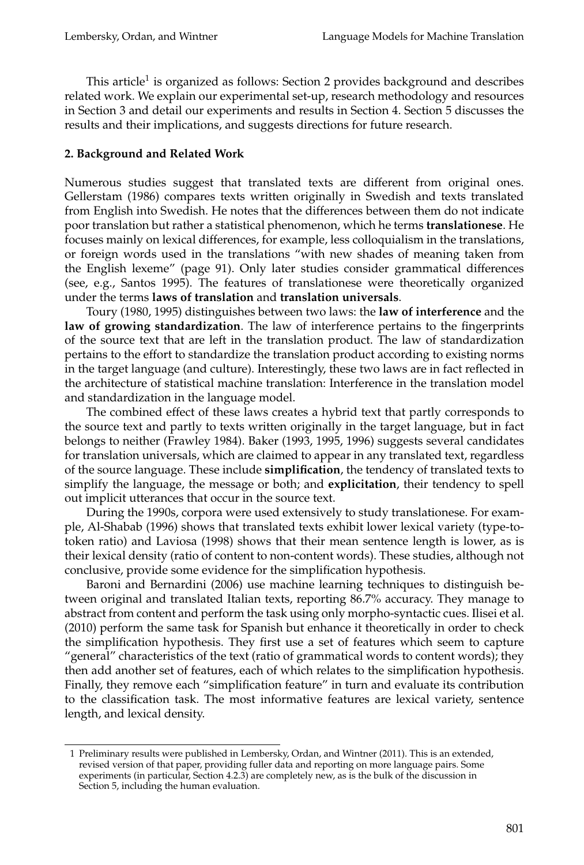This article<sup>1</sup> is organized as follows: Section 2 provides background and describes related work. We explain our experimental set-up, research methodology and resources in Section 3 and detail our experiments and results in Section 4. Section 5 discusses the results and their implications, and suggests directions for future research.

## **2. Background and Related Work**

Numerous studies suggest that translated texts are different from original ones. Gellerstam (1986) compares texts written originally in Swedish and texts translated from English into Swedish. He notes that the differences between them do not indicate poor translation but rather a statistical phenomenon, which he terms **translationese**. He focuses mainly on lexical differences, for example, less colloquialism in the translations, or foreign words used in the translations "with new shades of meaning taken from the English lexeme" (page 91). Only later studies consider grammatical differences (see, e.g., Santos 1995). The features of translationese were theoretically organized under the terms **laws of translation** and **translation universals**.

Toury (1980, 1995) distinguishes between two laws: the **lawof interference** and the law of growing standardization. The law of interference pertains to the fingerprints of the source text that are left in the translation product. The law of standardization pertains to the effort to standardize the translation product according to existing norms in the target language (and culture). Interestingly, these two laws are in fact reflected in the architecture of statistical machine translation: Interference in the translation model and standardization in the language model.

The combined effect of these laws creates a hybrid text that partly corresponds to the source text and partly to texts written originally in the target language, but in fact belongs to neither (Frawley 1984). Baker (1993, 1995, 1996) suggests several candidates for translation universals, which are claimed to appear in any translated text, regardless of the source language. These include **simplification**, the tendency of translated texts to simplify the language, the message or both; and **explicitation**, their tendency to spell out implicit utterances that occur in the source text.

During the 1990s, corpora were used extensively to study translationese. For example, Al-Shabab (1996) shows that translated texts exhibit lower lexical variety (type-totoken ratio) and Laviosa (1998) shows that their mean sentence length is lower, as is their lexical density (ratio of content to non-content words). These studies, although not conclusive, provide some evidence for the simplification hypothesis.

Baroni and Bernardini (2006) use machine learning techniques to distinguish between original and translated Italian texts, reporting 86.7% accuracy. They manage to abstract from content and perform the task using only morpho-syntactic cues. Ilisei et al. (2010) perform the same task for Spanish but enhance it theoretically in order to check the simplification hypothesis. They first use a set of features which seem to capture "general" characteristics of the text (ratio of grammatical words to content words); they then add another set of features, each of which relates to the simplification hypothesis. Finally, they remove each "simplification feature" in turn and evaluate its contribution to the classification task. The most informative features are lexical variety, sentence length, and lexical density.

<sup>1</sup> Preliminary results were published in Lembersky, Ordan, and Wintner (2011). This is an extended, revised version of that paper, providing fuller data and reporting on more language pairs. Some experiments (in particular, Section 4.2.3) are completely new, as is the bulk of the discussion in Section 5, including the human evaluation.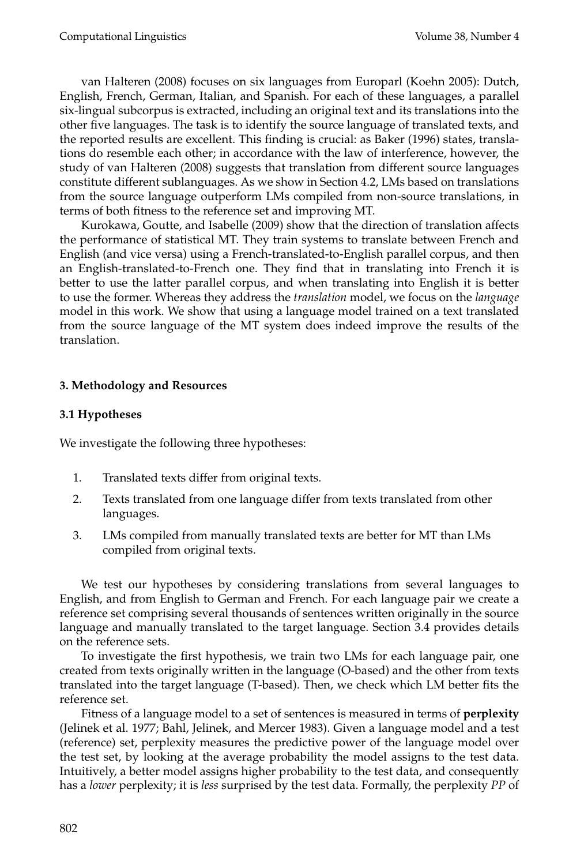van Halteren (2008) focuses on six languages from Europarl (Koehn 2005): Dutch, English, French, German, Italian, and Spanish. For each of these languages, a parallel six-lingual subcorpus is extracted, including an original text and its translations into the other five languages. The task is to identify the source language of translated texts, and the reported results are excellent. This finding is crucial: as Baker (1996) states, translations do resemble each other; in accordance with the law of interference, however, the study of van Halteren (2008) suggests that translation from different source languages constitute different sublanguages. As we show in Section 4.2, LMs based on translations from the source language outperform LMs compiled from non-source translations, in terms of both fitness to the reference set and improvingMT.

Kurokawa, Goutte, and Isabelle (2009) show that the direction of translation affects the performance of statistical MT. They train systems to translate between French and English (and vice versa) using a French-translated-to-English parallel corpus, and then an English-translated-to-French one. They find that in translating into French it is better to use the latter parallel corpus, and when translatinginto English it is better to use the former. Whereas they address the *translation* model, we focus on the *language* model in this work. We show that using a language model trained on a text translated from the source language of the MT system does indeed improve the results of the translation.

# **3. Methodology and Resources**

# **3.1 Hypotheses**

We investigate the following three hypotheses:

- 1. Translated texts differ from original texts.
- 2. Texts translated from one language differ from texts translated from other languages.
- 3. LMs compiled from manually translated texts are better for MT than LMs compiled from original texts.

We test our hypotheses by considering translations from several languages to English, and from English to German and French. For each language pair we create a reference set comprising several thousands of sentences written originally in the source language and manually translated to the target language. Section 3.4 provides details on the reference sets.

To investigate the first hypothesis, we train two LMs for each language pair, one created from texts originally written in the language (O-based) and the other from texts translated into the target language (T-based). Then, we check which LM better fits the reference set.

Fitness of a language model to a set of sentences is measured in terms of **perplexity** (Jelinek et al. 1977; Bahl, Jelinek, and Mercer 1983). Given a language model and a test (reference) set, perplexity measures the predictive power of the language model over the test set, by looking at the average probability the model assigns to the test data. Intuitively, a better model assigns higher probability to the test data, and consequently has a *lower* perplexity; it is *less* surprised by the test data. Formally, the perplexity *PP* of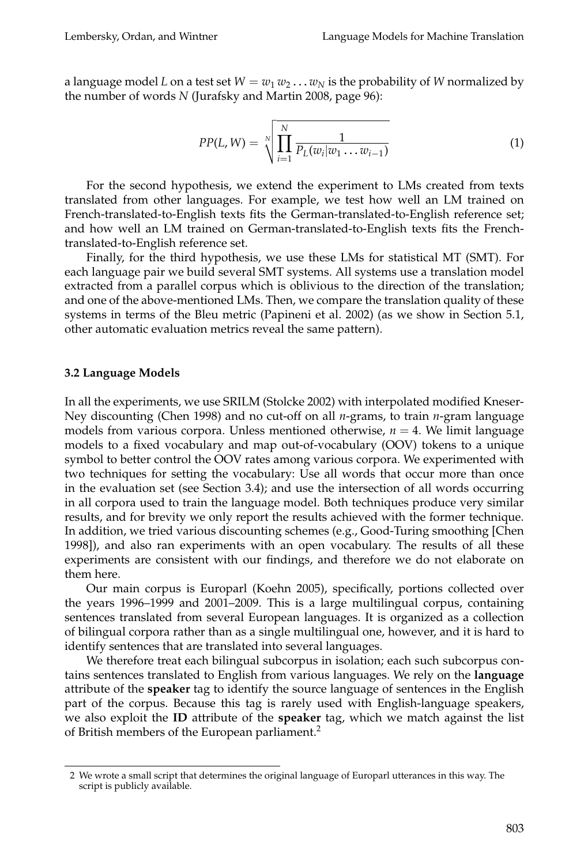a language model *L* on a test set  $W = w_1 w_2 \ldots w_N$  is the probability of *W* normalized by the number of words *N* (Jurafsky and Martin 2008, page 96):

$$
PP(L, W) = \sqrt[N]{\prod_{i=1}^{N} \frac{1}{P_L(w_i|w_1 \dots w_{i-1})}}
$$
(1)

For the second hypothesis, we extend the experiment to LMs created from texts translated from other languages. For example, we test how well an LM trained on French-translated-to-English texts fits the German-translated-to-English reference set; and how well an LM trained on German-translated-to-English texts fits the Frenchtranslated-to-English reference set.

Finally, for the third hypothesis, we use these LMs for statistical MT (SMT). For each language pair we build several SMT systems. All systems use a translation model extracted from a parallel corpus which is oblivious to the direction of the translation; and one of the above-mentioned LMs. Then, we compare the translation quality of these systems in terms of the Bleu metric (Papineni et al. 2002) (as we show in Section 5.1, other automatic evaluation metrics reveal the same pattern).

## **3.2 Language Models**

In all the experiments, we use SRILM (Stolcke 2002) with interpolated modified Kneser-Ney discounting(Chen 1998) and no cut-off on all *n*-grams, to train *n*-gram language models from various corpora. Unless mentioned otherwise,  $n = 4$ . We limit language models to a fixed vocabulary and map out-of-vocabulary (OOV) tokens to a unique symbol to better control the OOV rates among various corpora. We experimented with two techniques for setting the vocabulary: Use all words that occur more than once in the evaluation set (see Section 3.4); and use the intersection of all words occurring in all corpora used to train the language model. Both techniques produce very similar results, and for brevity we only report the results achieved with the former technique. In addition, we tried various discounting schemes (e.g., Good-Turing smoothing [Chen] 1998]), and also ran experiments with an open vocabulary. The results of all these experiments are consistent with our findings, and therefore we do not elaborate on them here.

Our main corpus is Europarl (Koehn 2005), specifically, portions collected over the years 1996–1999 and 2001–2009. This is a large multilingual corpus, containing sentences translated from several European languages. It is organized as a collection of bilingual corpora rather than as a single multilingual one, however, and it is hard to identify sentences that are translated into several languages.

We therefore treat each bilingual subcorpus in isolation; each such subcorpus contains sentences translated to English from various languages. We rely on the **language** attribute of the **speaker** tag to identify the source language of sentences in the English part of the corpus. Because this tag is rarely used with English-language speakers, we also exploit the **ID** attribute of the **speaker** tag, which we match against the list of British members of the European parliament.<sup>2</sup>

<sup>2</sup> We wrote a small script that determines the original language of Europarl utterances in this way. The script is publicly available.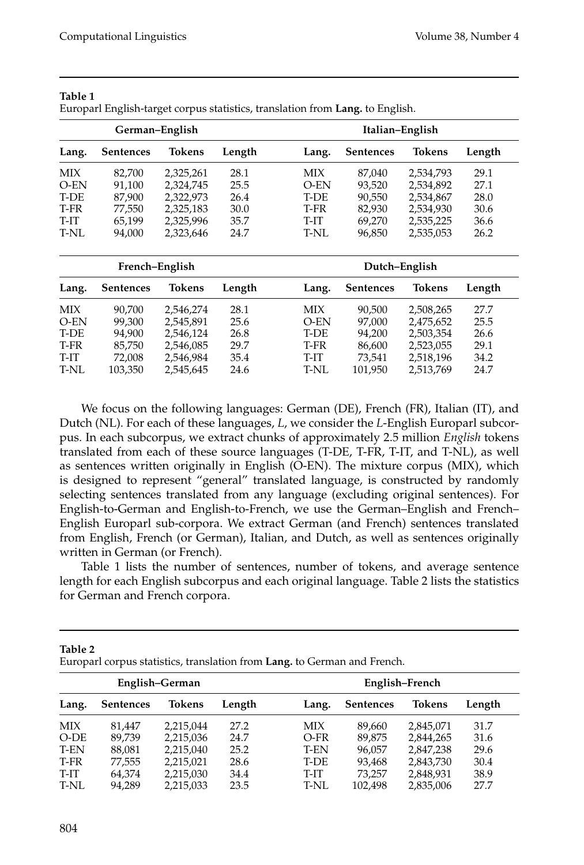|            | German-English   |                |        | Italian-English                                      |
|------------|------------------|----------------|--------|------------------------------------------------------|
| Lang.      | <b>Sentences</b> | <b>Tokens</b>  | Length | <b>Tokens</b><br><b>Sentences</b><br>Length<br>Lang. |
| <b>MIX</b> | 82,700           | 2,325,261      | 28.1   | МIХ<br>87,040<br>29.1<br>2,534,793                   |
| O-EN       | 91,100           | 2,324,745      | 25.5   | $O$ -EN<br>93,520<br>27.1<br>2,534,892               |
| T-DE       | 87,900           | 2,322,973      | 26.4   | T-DE<br>90,550<br>28.0<br>2,534,867                  |
| T-FR       | 77,550           | 2,325,183      | 30.0   | T-FR<br>82,930<br>2,534,930<br>30.6                  |
| T-IT       | 65,199           | 2,325,996      | 35.7   | 2,535,225<br>T-IT<br>69,270<br>36.6                  |
| T-NL       | 94,000           | 2,323,646      | 24.7   | T-NL<br>2,535,053<br>26.2<br>96,850                  |
|            |                  | French-English |        | Dutch-English                                        |
| Lang.      | <b>Sentences</b> | <b>Tokens</b>  | Length | Tokens<br><b>Sentences</b><br>Length<br>Lang.        |
| MIX        | 90,700           | 2,546,274      | 28.1   | МIХ<br>27.7<br>90,500<br>2,508,265                   |
| $O$ -EN    | 99,300           | 2,545,891      | 25.6   | 25.5<br>O-EN<br>97,000<br>2,475,652                  |
| T-DE       | 94,900           | 2,546,124      | 26.8   | T-DE<br>2,503,354<br>26.6<br>94,200                  |
| T-FR       | 85,750           | 2,546,085      | 29.7   | T-FR<br>2,523,055<br>29.1<br>86,600                  |
| T-IT       | 72,008           | 2,546,984      | 35.4   | T-IT<br>2,518,196<br>73,541<br>34.2                  |
| T-NL       | 103,350          | 2,545,645      | 24.6   | T-NL<br>101,950<br>2,513,769<br>24.7                 |

Europarl English-target corpus statistics, translation from **Lang.** to English.

We focus on the following languages: German (DE), French (FR), Italian (IT), and Dutch (NL). For each of these languages, *L*, we consider the *L*-English Europarl subcorpus. In each subcorpus, we extract chunks of approximately 2.5 million *English* tokens translated from each of these source languages (T-DE, T-FR, T-IT, and T-NL), as well as sentences written originally in English (O-EN). The mixture corpus (MIX), which is designed to represent "general" translated language, is constructed by randomly selecting sentences translated from any language (excluding original sentences). For English-to-German and English-to-French, we use the German–English and French– English Europarl sub-corpora. We extract German (and French) sentences translated from English, French (or German), Italian, and Dutch, as well as sentences originally written in German (or French).

Table 1 lists the number of sentences, number of tokens, and average sentence length for each English subcorpus and each original language. Table 2 lists the statistics for German and French corpora.

|        |                  |                | Europarl corpus statistics, translation from Lang. to German and French. |            |                  |                |        |
|--------|------------------|----------------|--------------------------------------------------------------------------|------------|------------------|----------------|--------|
|        |                  | English-German |                                                                          |            |                  | English-French |        |
| Lang.  | <b>Sentences</b> | Tokens         | Length                                                                   | Lang.      | <b>Sentences</b> | Tokens         | Length |
| MIX.   | 81,447           | 2,215,044      | 27.2                                                                     | <b>MIX</b> | 89,660           | 2,845,071      | 31.7   |
| $O-DE$ | 89,739           | 2,215,036      | 24.7                                                                     | $O-FR$     | 89,875           | 2,844,265      | 31.6   |
| T-EN   | 88,081           | 2,215,040      | 25.2                                                                     | T-EN       | 96,057           | 2,847,238      | 29.6   |
| T-FR   | 77,555           | 2,215,021      | 28.6                                                                     | T-DE       | 93,468           | 2,843,730      | 30.4   |
| T-IT   | 64.374           | 2,215,030      | 34.4                                                                     | T-IT       | 73,257           | 2,848,931      | 38.9   |
| T-NL   | 94,289           | 2,215,033      | 23.5                                                                     | T-NL       | 102.498          | 2,835,006      | 27.7   |

**Table 2**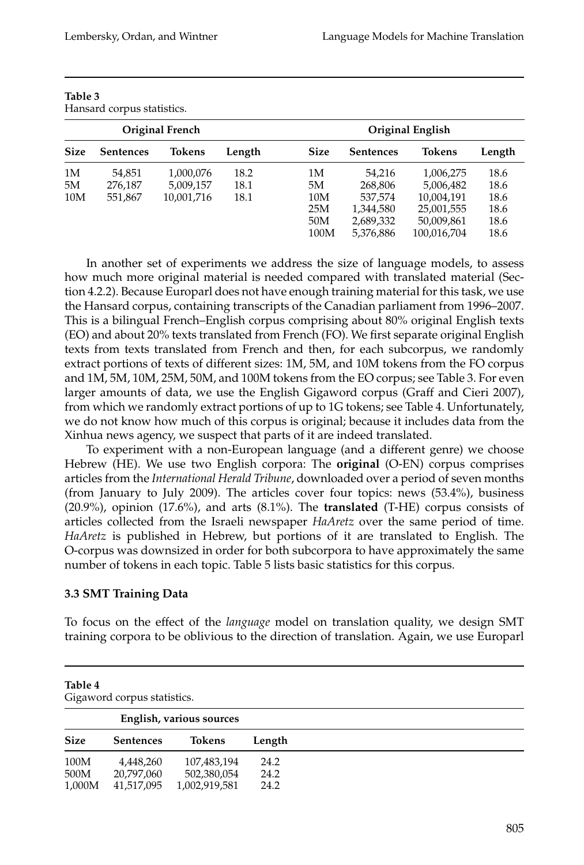|             | Hansard corpus statistics. |                 |        |             |                  |                  |        |
|-------------|----------------------------|-----------------|--------|-------------|------------------|------------------|--------|
|             |                            | Original French |        |             |                  | Original English |        |
| <b>Size</b> | <b>Sentences</b>           | Tokens          | Length | <b>Size</b> | <b>Sentences</b> | Tokens           | Length |
| 1M          | 54,851                     | 1,000,076       | 18.2   | 1M          | 54,216           | 1,006,275        | 18.6   |
| 5M          | 276,187                    | 5,009,157       | 18.1   | 5M          | 268,806          | 5,006,482        | 18.6   |
| 10M         | 551,867                    | 10,001,716      | 18.1   | 10M         | 537.574          | 10,004,191       | 18.6   |
|             |                            |                 |        | 25M         | 1,344,580        | 25,001,555       | 18.6   |
|             |                            |                 |        | 50M         | 2,689,332        | 50,009,861       | 18.6   |
|             |                            |                 |        | 100M        | 5,376,886        | 100,016,704      | 18.6   |

| Table 3                    |
|----------------------------|
| Hansard corpus statistics. |

In another set of experiments we address the size of language models, to assess how much more original material is needed compared with translated material (Section 4.2.2). Because Europarl does not have enough training material for this task, we use the Hansard corpus, containing transcripts of the Canadian parliament from 1996–2007. This is a bilingual French–English corpus comprising about 80% original English texts (EO) and about 20% texts translated from French (FO). We first separate original English texts from texts translated from French and then, for each subcorpus, we randomly extract portions of texts of different sizes: 1M, 5M, and 10M tokens from the FO corpus and 1M, 5M, 10M, 25M, 50M, and 100M tokens from the EO corpus; see Table 3. For even larger amounts of data, we use the English Gigaword corpus (Graff and Cieri 2007), from which we randomly extract portions of up to 1G tokens; see Table 4. Unfortunately, we do not know how much of this corpus is original; because it includes data from the Xinhua news agency, we suspect that parts of it are indeed translated.

To experiment with a non-European language (and a different genre) we choose Hebrew (HE). We use two English corpora: The **original** (O-EN) corpus comprises articles from the *International Herald Tribune*, downloaded over a period of seven months (from January to July 2009). The articles cover four topics: news (53.4%), business (20.9%), opinion (17.6%), and arts (8.1%). The **translated** (T-HE) corpus consists of articles collected from the Israeli newspaper *HaAretz* over the same period of time. *HaAretz* is published in Hebrew, but portions of it are translated to English. The O-corpus was downsized in order for both subcorpora to have approximately the same number of tokens in each topic. Table 5 lists basic statistics for this corpus.

## **3.3 SMT Training Data**

To focus on the effect of the *language* model on translation quality, we design SMT training corpora to be oblivious to the direction of translation. Again, we use Europarl

| TADIC T                | Gigaword corpus statistics.           |                                             |                      |
|------------------------|---------------------------------------|---------------------------------------------|----------------------|
|                        |                                       | English, various sources                    |                      |
| <b>Size</b>            | <b>Sentences</b>                      | Tokens                                      | Length               |
| 100M<br>500M<br>1,000M | 4,448,260<br>20,797,060<br>41,517,095 | 107,483,194<br>502,380,054<br>1,002,919,581 | 24.2<br>24.2<br>24.2 |

**Table 4**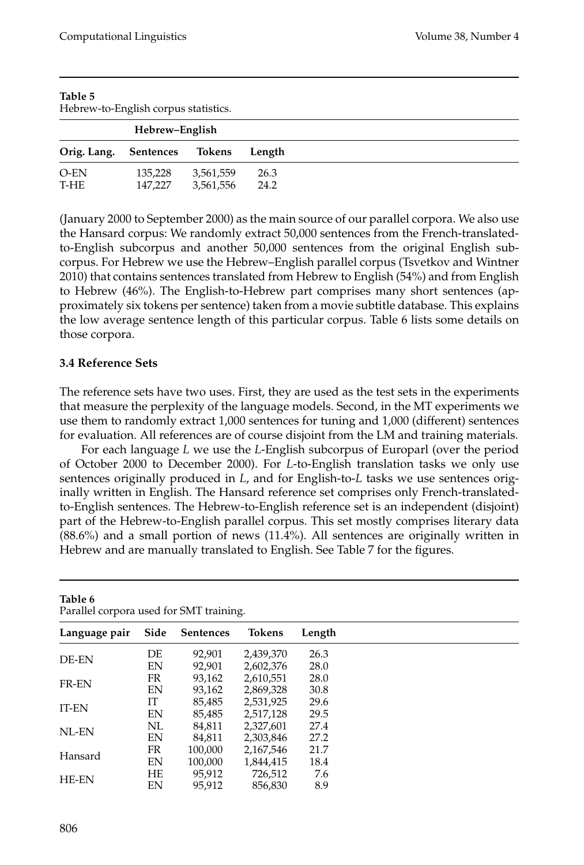|                | Hebrew-to-English corpus statistics. |                        |              |  |
|----------------|--------------------------------------|------------------------|--------------|--|
|                | Hebrew-English                       |                        |              |  |
|                | Orig. Lang. Sentences                | Tokens                 | Length       |  |
| $O-EN$<br>T-HE | 135.228<br>147.227                   | 3,561,559<br>3,561,556 | 26.3<br>24.2 |  |

| Table 5                              |
|--------------------------------------|
| Hebrew-to-English corpus statistics. |

(January 2000 to September 2000) as the main source of our parallel corpora. We also use the Hansard corpus: We randomly extract 50,000 sentences from the French-translatedto-English subcorpus and another 50,000 sentences from the original English subcorpus. For Hebrew we use the Hebrew–English parallel corpus (Tsvetkov and Wintner 2010) that contains sentences translated from Hebrew to English (54%) and from English to Hebrew (46%). The English-to-Hebrew part comprises many short sentences (approximately six tokens per sentence) taken from a movie subtitle database. This explains the low average sentence length of this particular corpus. Table 6 lists some details on those corpora.

# **3.4 Reference Sets**

The reference sets have two uses. First, they are used as the test sets in the experiments that measure the perplexity of the language models. Second, in the MT experiments we use them to randomly extract 1,000 sentences for tuningand 1,000 (different) sentences for evaluation. All references are of course disjoint from the LM and training materials.

For each language *L* we use the *L*-English subcorpus of Europarl (over the period of October 2000 to December 2000). For *L*-to-English translation tasks we only use sentences originally produced in *L*, and for English-to-*L* tasks we use sentences originally written in English. The Hansard reference set comprises only French-translatedto-English sentences. The Hebrew-to-English reference set is an independent (disjoint) part of the Hebrew-to-English parallel corpus. This set mostly comprises literary data (88.6%) and a small portion of news (11.4%). All sentences are originally written in Hebrew and are manually translated to English. See Table 7 for the figures.

| I didnei corpora used for Jivit training. |      |                  |           |        |  |
|-------------------------------------------|------|------------------|-----------|--------|--|
| Language pair                             | Side | <b>Sentences</b> | Tokens    | Length |  |
| DE-EN                                     | DE   | 92,901           | 2,439,370 | 26.3   |  |
|                                           | EN   | 92.901           | 2.602.376 | 28.0   |  |
| <b>FR-EN</b>                              | FR   | 93,162           | 2,610,551 | 28.0   |  |
|                                           | EN   | 93,162           | 2,869,328 | 30.8   |  |
|                                           | IΤ   | 85,485           | 2,531,925 | 29.6   |  |
| <b>IT-EN</b>                              | EN   | 85,485           | 2.517.128 | 29.5   |  |
|                                           | NL   | 84,811           | 2,327,601 | 27.4   |  |
| NL-EN                                     | EN   | 84.811           | 2,303,846 | 27.2   |  |
|                                           | FR   | 100,000          | 2,167,546 | 21.7   |  |
| Hansard                                   | EN   | 100.000          | 1.844.415 | 18.4   |  |
| <b>HE-EN</b>                              | НE   | 95.912           | 726,512   | 7.6    |  |
|                                           | EN   | 95.912           | 856.830   | 8.9    |  |

**Table 6** Parallel corpora used for SMT training.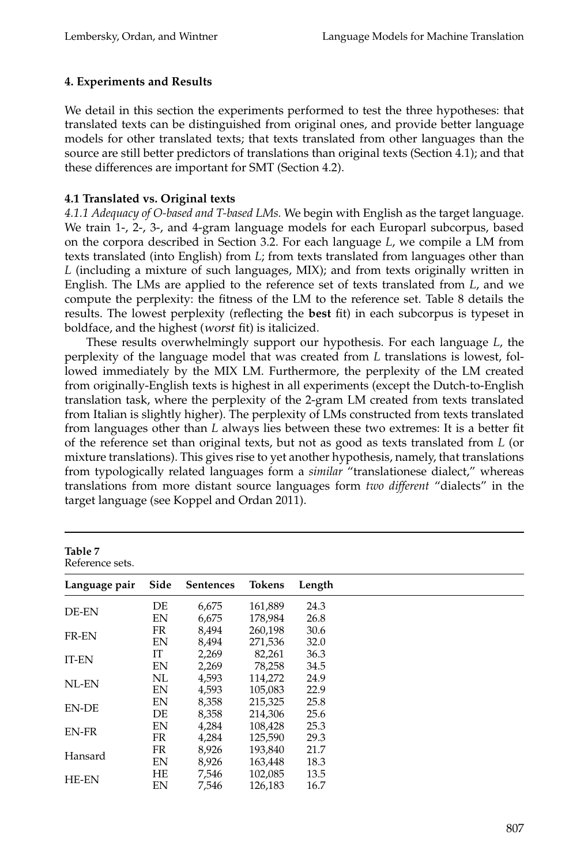# **4. Experiments and Results**

We detail in this section the experiments performed to test the three hypotheses: that translated texts can be distinguished from original ones, and provide better language models for other translated texts; that texts translated from other languages than the source are still better predictors of translations than original texts (Section 4.1); and that these differences are important for SMT (Section 4.2).

# **4.1 Translated vs. Original texts**

*4.1.1 Adequacy of O-based and T-based LMs.* We begin with English as the target language. We train 1-, 2-, 3-, and 4-gram language models for each Europarl subcorpus, based on the corpora described in Section 3.2. For each language *L*, we compile a LM from texts translated (into English) from *L*; from texts translated from languages other than *L* (including a mixture of such languages, MIX); and from texts originally written in English. The LMs are applied to the reference set of texts translated from *L*, and we compute the perplexity: the fitness of the LM to the reference set. Table 8 details the results. The lowest perplexity (reflecting the **best** fit) in each subcorpus is typeset in boldface, and the highest (worst fit) is italicized.

These results overwhelmingly support our hypothesis. For each language *L*, the perplexity of the language model that was created from *L* translations is lowest, followed immediately by the MIX LM. Furthermore, the perplexity of the LM created from originally-English texts is highest in all experiments (except the Dutch-to-English translation task, where the perplexity of the 2-gram LM created from texts translated from Italian is slightly higher). The perplexity of LMs constructed from texts translated from languages other than *L* always lies between these two extremes: It is a better fit of the reference set than original texts, but not as good as texts translated from *L* (or mixture translations). This gives rise to yet another hypothesis, namely, that translations from typologically related languages form a *similar* "translationese dialect," whereas translations from more distant source languages form *two different* "dialects" in the target language (see Koppel and Ordan 2011).

| Table 7<br>Reference sets. |      |                  |               |        |
|----------------------------|------|------------------|---------------|--------|
| Language pair              | Side | <b>Sentences</b> | <b>Tokens</b> | Length |
|                            | DE   | 6,675            | 161,889       | 24.3   |
| DE-EN                      | EN   | 6,675            | 178,984       | 26.8   |
|                            | FR   | 8,494            | 260,198       | 30.6   |
| FR-EN                      | EN   | 8,494            | 271,536       | 32.0   |
| IT-EN                      | IΤ   | 2,269            | 82,261        | 36.3   |
|                            | EN   | 2,269            | 78,258        | 34.5   |
| NL-EN                      | NL   | 4,593            | 114,272       | 24.9   |
|                            | EN   | 4,593            | 105,083       | 22.9   |
|                            | EN   | 8,358            | 215,325       | 25.8   |
| <b>EN-DE</b>               | DE   | 8,358            | 214,306       | 25.6   |
|                            | EN   | 4,284            | 108,428       | 25.3   |
| EN-FR                      | FR   | 4,284            | 125,590       | 29.3   |
|                            | FR   | 8,926            | 193,840       | 21.7   |
| Hansard                    | EN   | 8,926            | 163,448       | 18.3   |
|                            | НE   | 7,546            | 102,085       | 13.5   |
| <b>HE-EN</b>               | EN   | 7,546            | 126,183       | 16.7   |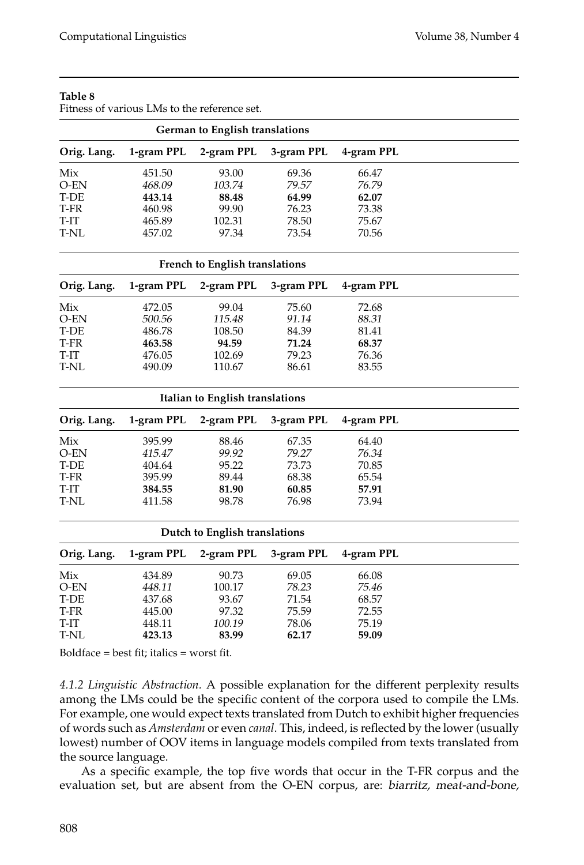|             | Fitness of various LMs to the reference set. |                                 |            |            |  |
|-------------|----------------------------------------------|---------------------------------|------------|------------|--|
|             |                                              | German to English translations  |            |            |  |
| Orig. Lang. | 1-gram PPL                                   | 2-gram PPL                      | 3-gram PPL | 4-gram PPL |  |
| Mix         | 451.50                                       | 93.00                           | 69.36      | 66.47      |  |
| O-EN        | 468.09                                       | 103.74                          | 79.57      | 76.79      |  |
| T-DE        | 443.14                                       | 88.48                           | 64.99      | 62.07      |  |
| T-FR        | 460.98                                       | 99.90                           | 76.23      | 73.38      |  |
| T-IT        | 465.89                                       | 102.31                          | 78.50      | 75.67      |  |
| T-NL        | 457.02                                       | 97.34                           | 73.54      | 70.56      |  |
|             |                                              | French to English translations  |            |            |  |
| Orig. Lang. | 1-gram PPL                                   | 2-gram PPL                      | 3-gram PPL | 4-gram PPL |  |
| Mix         | 472.05                                       | 99.04                           | 75.60      | 72.68      |  |
| O-EN        | 500.56                                       | 115.48                          | 91.14      | 88.31      |  |
| T-DE        | 486.78                                       | 108.50                          | 84.39      | 81.41      |  |
| T-FR        | 463.58                                       | 94.59                           | 71.24      | 68.37      |  |
| T-IT        | 476.05                                       | 102.69                          | 79.23      | 76.36      |  |
| T-NL        | 490.09                                       | 110.67                          | 86.61      | 83.55      |  |
|             |                                              | Italian to English translations |            |            |  |
| Orig. Lang. | 1-gram PPL                                   | 2-gram PPL                      | 3-gram PPL | 4-gram PPL |  |
| Mix         | 395.99                                       | 88.46                           | 67.35      | 64.40      |  |
| O-EN        | 415.47                                       | 99.92                           | 79.27      | 76.34      |  |
| T-DE        | 404.64                                       | 95.22                           | 73.73      | 70.85      |  |
| T-FR        | 395.99                                       | 89.44                           | 68.38      | 65.54      |  |
| T-IT        | 384.55                                       | 81.90                           | 60.85      | 57.91      |  |
| T-NL        | 411.58                                       | 98.78                           | 76.98      | 73.94      |  |
|             |                                              | Dutch to English translations   |            |            |  |
| Orig. Lang. | 1-gram PPL                                   | 2-gram PPL                      | 3-gram PPL | 4-gram PPL |  |
| Mix         | 434.89                                       | 90.73                           | 69.05      | 66.08      |  |
| O-EN        | 448.11                                       | 100.17                          | 78.23      | 75.46      |  |
| T-DE        | 437.68                                       | 93.67                           | 71.54      | 68.57      |  |
| T-FR        | 445.00                                       | 97.32                           | 75.59      | 72.55      |  |
| T-IT        | 448.11                                       | 100.19                          | 78.06      | 75.19      |  |
| T-NL        | 423.13                                       | 83.99                           | 62.17      | 59.09      |  |
|             |                                              |                                 |            |            |  |

 $Boldface = best fit$ ; italics = worst fit.

*4.1.2 Linguistic Abstraction.* A possible explanation for the different perplexity results among the LMs could be the specific content of the corpora used to compile the LMs. For example, one would expect texts translated from Dutch to exhibit higher frequencies of words such as *Amsterdam* or even *canal*. This, indeed, is reflected by the lower (usually lowest) number of OOV items in language models compiled from texts translated from the source language.

As a specific example, the top five words that occur in the T-FR corpus and the evaluation set, but are absent from the O-EN corpus, are: biarritz, meat-and-bone,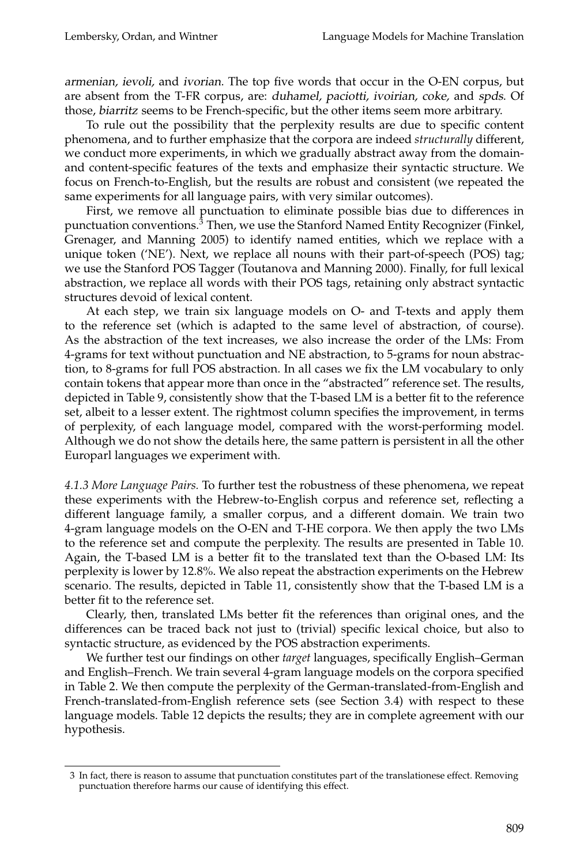armenian, ievoli, and ivorian. The top five words that occur in the O-EN corpus, but are absent from the T-FR corpus, are: duhamel, paciotti, ivoirian, coke, and spds. Of those, biarritz seems to be French-specific, but the other items seem more arbitrary.

To rule out the possibility that the perplexity results are due to specific content phenomena, and to further emphasize that the corpora are indeed *structurally* different, we conduct more experiments, in which we gradually abstract away from the domainand content-specific features of the texts and emphasize their syntactic structure. We focus on French-to-English, but the results are robust and consistent (we repeated the same experiments for all language pairs, with very similar outcomes).

First, we remove all punctuation to eliminate possible bias due to differences in punctuation conventions. $3$  Then, we use the Stanford Named Entity Recognizer (Finkel, Grenager, and Manning 2005) to identify named entities, which we replace with a unique token ('NE'). Next, we replace all nouns with their part-of-speech (POS) tag; we use the Stanford POS Tagger (Toutanova and Manning 2000). Finally, for full lexical abstraction, we replace all words with their POS tags, retaining only abstract syntactic structures devoid of lexical content.

At each step, we train six language models on O- and T-texts and apply them to the reference set (which is adapted to the same level of abstraction, of course). As the abstraction of the text increases, we also increase the order of the LMs: From 4-grams for text without punctuation and NE abstraction, to 5-grams for noun abstraction, to 8-grams for full POS abstraction. In all cases we fix the LM vocabulary to only contain tokens that appear more than once in the "abstracted" reference set. The results, depicted in Table 9, consistently show that the T-based LM is a better fit to the reference set, albeit to a lesser extent. The rightmost column specifies the improvement, in terms of perplexity, of each language model, compared with the worst-performing model. Although we do not show the details here, the same pattern is persistent in all the other Europarl languages we experiment with.

*4.1.3 More Language Pairs.* To further test the robustness of these phenomena, we repeat these experiments with the Hebrew-to-English corpus and reference set, reflecting a different language family, a smaller corpus, and a different domain. We train two 4-gram language models on the O-EN and T-HE corpora. We then apply the two LMs to the reference set and compute the perplexity. The results are presented in Table 10. Again, the T-based LM is a better fit to the translated text than the O-based LM: Its perplexity is lower by 12.8%. We also repeat the abstraction experiments on the Hebrew scenario. The results, depicted in Table 11, consistently show that the T-based LM is a better fit to the reference set.

Clearly, then, translated LMs better fit the references than original ones, and the differences can be traced back not just to (trivial) specific lexical choice, but also to syntactic structure, as evidenced by the POS abstraction experiments.

We further test our findings on other *target* languages, specifically English–German and English–French. We train several 4-gram language models on the corpora specified in Table 2. We then compute the perplexity of the German-translated-from-English and French-translated-from-English reference sets (see Section 3.4) with respect to these language models. Table 12 depicts the results; they are in complete agreement with our hypothesis.

<sup>3</sup> In fact, there is reason to assume that punctuation constitutes part of the translationese effect. Removing punctuation therefore harms our cause of identifying this effect.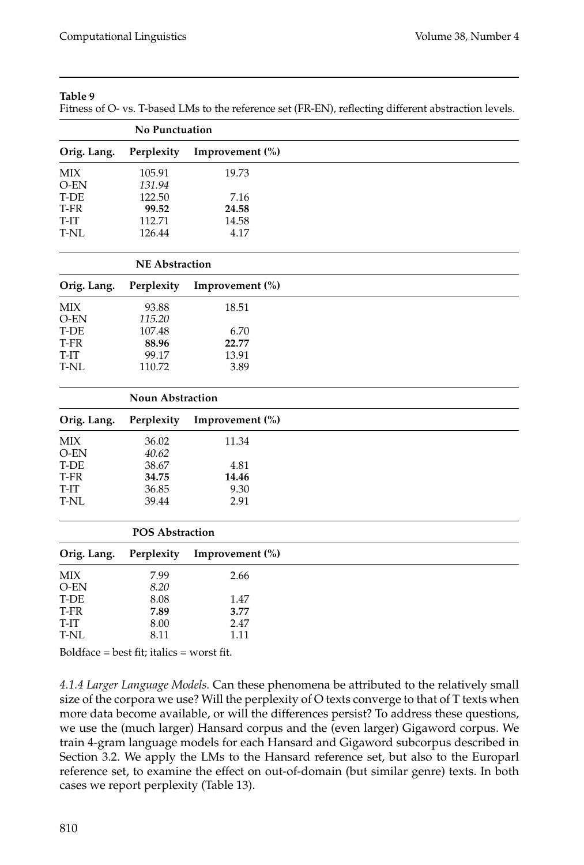| ٠<br>×<br>×<br>- -<br>×<br>۰, |  |
|-------------------------------|--|
|-------------------------------|--|

Fitness of O- vs. T-based LMs to the reference set (FR-EN), reflecting different abstraction levels.

|              | No Punctuation          |                 |
|--------------|-------------------------|-----------------|
| Orig. Lang.  | Perplexity              | Improvement (%) |
| <b>MIX</b>   | 105.91                  | 19.73           |
| $O$ -EN      | 131.94                  |                 |
| T-DE         | 122.50                  | 7.16            |
| T-FR         | 99.52                   | 24.58           |
| T-IT         | 112.71                  | 14.58           |
| T-NL         | 126.44                  | 4.17            |
|              | <b>NE Abstraction</b>   |                 |
| Orig. Lang.  | Perplexity              | Improvement (%) |
| <b>MIX</b>   | 93.88                   | 18.51           |
| $O$ -EN      | 115.20                  |                 |
| T-DE         | 107.48                  | 6.70            |
| T-FR         | 88.96                   | 22.77           |
| T-IT         | 99.17                   | 13.91           |
| T-NL         | 110.72                  | 3.89            |
|              | <b>Noun Abstraction</b> |                 |
| Orig. Lang.  | Perplexity              | Improvement (%) |
| <b>MIX</b>   | 36.02                   | 11.34           |
| O-EN         | 40.62                   |                 |
| T-DE         | 38.67                   | 4.81            |
| T-FR         | 34.75                   | 14.46           |
| T-IT         | 36.85                   | 9.30            |
| T-NL         | 39.44                   | 2.91            |
|              | <b>POS Abstraction</b>  |                 |
| Orig. Lang.  | Perplexity              | Improvement (%) |
| MIX          | 7.99                    | 2.66            |
| O-EN         | 8.20                    |                 |
| T-DE         | 8.08                    | 1.47            |
| T-FR         | 7.89                    | 3.77            |
| T-IT         | 8.00                    | 2.47            |
| T-NL         | 8.11                    | 1.11            |
| <b>Print</b> |                         |                 |

Boldface = best fit; italics = worst fit.

*4.1.4 Larger Language Models.* Can these phenomena be attributed to the relatively small size of the corpora we use? Will the perplexity of O texts converge to that of T texts when more data become available, or will the differences persist? To address these questions, we use the (much larger) Hansard corpus and the (even larger) Gigaword corpus. We train 4-gram language models for each Hansard and Gigaword subcorpus described in Section 3.2. We apply the LMs to the Hansard reference set, but also to the Europarl reference set, to examine the effect on out-of-domain (but similar genre) texts. In both cases we report perplexity (Table 13).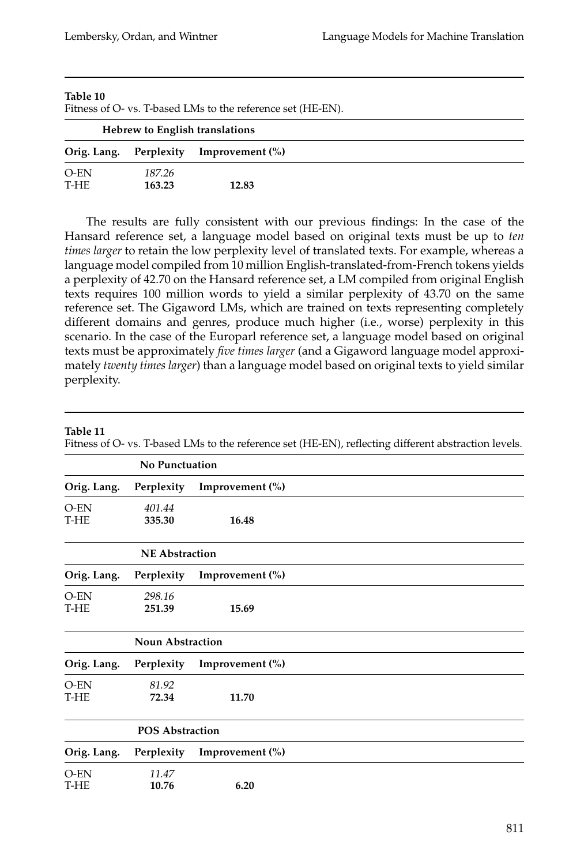| Table 10<br>Fitness of O- vs. T-based LMs to the reference set (HE-EN). |                                       |                     |  |  |  |  |  |
|-------------------------------------------------------------------------|---------------------------------------|---------------------|--|--|--|--|--|
|                                                                         | <b>Hebrew to English translations</b> |                     |  |  |  |  |  |
|                                                                         | Orig. Lang. Perplexity                | Improvement $(\% )$ |  |  |  |  |  |
| $O$ -EN<br>T-HE                                                         | 187.26<br>163.23                      | 12.83               |  |  |  |  |  |

The results are fully consistent with our previous findings: In the case of the Hansard reference set, a language model based on original texts must be up to *ten times larger* to retain the low perplexity level of translated texts. For example, whereas a language model compiled from 10 million English-translated-from-French tokens yields a perplexity of 42.70 on the Hansard reference set, a LM compiled from original English texts requires 100 million words to yield a similar perplexity of 43.70 on the same reference set. The Gigaword LMs, which are trained on texts representing completely different domains and genres, produce much higher (i.e., worse) perplexity in this scenario. In the case of the Europarl reference set, a language model based on original texts must be approximately *five times larger* (and a Gigaword language model approximately *twenty times larger*) than a language model based on original texts to yield similar perplexity.

|                |                         |                 | Fitness of O- vs. T-based LMs to the reference set (HE-EN), reflecting different abstraction levels. |
|----------------|-------------------------|-----------------|------------------------------------------------------------------------------------------------------|
|                | <b>No Punctuation</b>   |                 |                                                                                                      |
| Orig. Lang.    | Perplexity              | Improvement (%) |                                                                                                      |
| $O-EN$<br>T-HE | 401.44<br>335.30        | 16.48           |                                                                                                      |
|                | <b>NE Abstraction</b>   |                 |                                                                                                      |
| Orig. Lang.    | Perplexity              | Improvement (%) |                                                                                                      |
| $O-EN$<br>T-HE | 298.16<br>251.39        | 15.69           |                                                                                                      |
|                | <b>Noun Abstraction</b> |                 |                                                                                                      |
| Orig. Lang.    | Perplexity              | Improvement (%) |                                                                                                      |
| O-EN<br>T-HE   | 81.92<br>72.34          | 11.70           |                                                                                                      |
|                | <b>POS Abstraction</b>  |                 |                                                                                                      |
| Orig. Lang.    | Perplexity              | Improvement (%) |                                                                                                      |
| $O-EN$<br>T-HE | 11.47<br>10.76          | 6.20            |                                                                                                      |

**Table 11**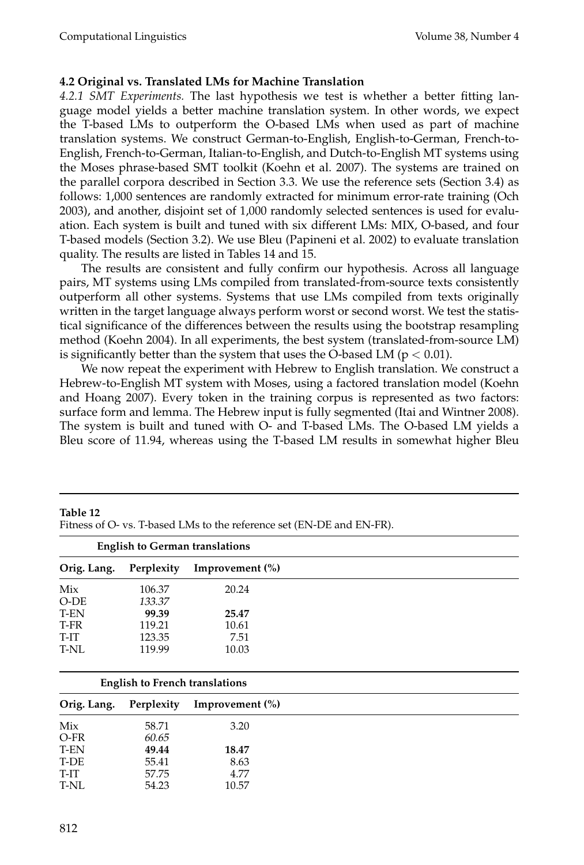# **4.2 Original vs. Translated LMs for Machine Translation**

4.2.1 SMT Experiments. The last hypothesis we test is whether a better fitting language model yields a better machine translation system. In other words, we expect the T-based LMs to outperform the O-based LMs when used as part of machine translation systems. We construct German-to-English, English-to-German, French-to-English, French-to-German, Italian-to-English, and Dutch-to-English MT systems using the Moses phrase-based SMT toolkit (Koehn et al. 2007). The systems are trained on the parallel corpora described in Section 3.3. We use the reference sets (Section 3.4) as follows: 1,000 sentences are randomly extracted for minimum error-rate training(Och 2003), and another, disjoint set of 1,000 randomly selected sentences is used for evaluation. Each system is built and tuned with six different LMs: MIX, O-based, and four T-based models (Section 3.2). We use Bleu (Papineni et al. 2002) to evaluate translation quality. The results are listed in Tables 14 and 15.

The results are consistent and fully confirm our hypothesis. Across all language pairs, MT systems usingLMs compiled from translated-from-source texts consistently outperform all other systems. Systems that use LMs compiled from texts originally written in the target language always perform worst or second worst. We test the statistical significance of the differences between the results using the bootstrap resampling method (Koehn 2004). In all experiments, the best system (translated-from-source LM) is significantly better than the system that uses the O-based LM ( $p < 0.01$ ).

We now repeat the experiment with Hebrew to English translation. We construct a Hebrew-to-English MT system with Moses, using a factored translation model (Koehn and Hoang 2007). Every token in the training corpus is represented as two factors: surface form and lemma. The Hebrew input is fully segmented (Itai and Wintner 2008). The system is built and tuned with O- and T-based LMs. The O-based LM yields a Bleu score of 11.94, whereas using the T-based LM results in somewhat higher Bleu

|             |                                       |                                       | Fitness of O- vs. T-based LMs to the reference set (EN-DE and EN-FR). |
|-------------|---------------------------------------|---------------------------------------|-----------------------------------------------------------------------|
|             |                                       | <b>English to German translations</b> |                                                                       |
| Orig. Lang. | Perplexity                            | Improvement $(\%)$                    |                                                                       |
| Mix         | 106.37                                | 20.24                                 |                                                                       |
| $O-DE$      | 133.37                                |                                       |                                                                       |
| T-EN        | 99.39                                 | 25.47                                 |                                                                       |
| T-FR        | 119.21                                | 10.61                                 |                                                                       |
| T-IT        | 123.35                                | 7.51                                  |                                                                       |
| T-NL        | 119.99                                | 10.03                                 |                                                                       |
|             | <b>English to French translations</b> |                                       |                                                                       |
| Orig. Lang. | Perplexity                            | Improvement $(\%)$                    |                                                                       |
| Mix         | 58.71                                 | 3.20                                  |                                                                       |
| O-FR        | 60.65                                 |                                       |                                                                       |
| T-EN        | 49.44                                 | 18.47                                 |                                                                       |
| T-DE        | 55.41                                 | 8.63                                  |                                                                       |
| T-IT        | 57.75                                 | 4.77                                  |                                                                       |
| T-NL        | 54.23                                 | 10.57                                 |                                                                       |

**Table 12**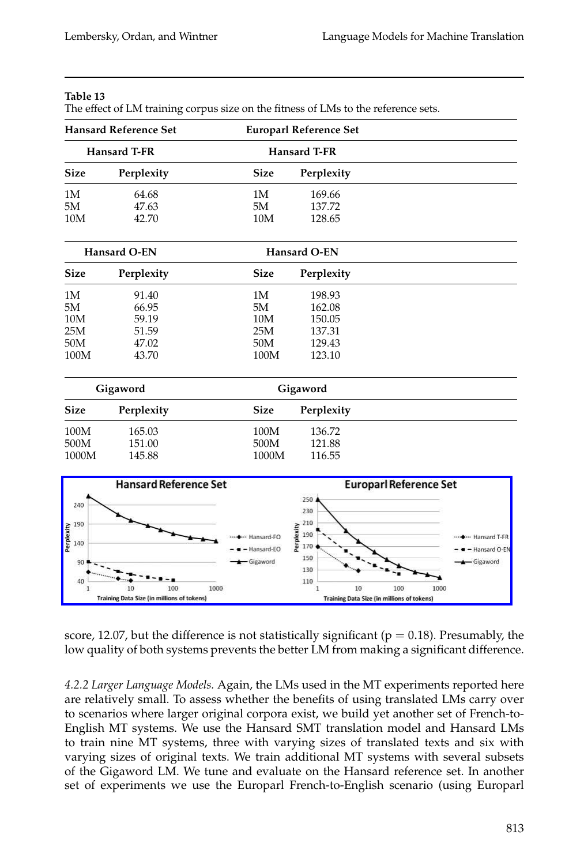|                           |                              |             | The effect of LM training corpus size on the fitness of LMs to the reference sets. |  |  |  |
|---------------------------|------------------------------|-------------|------------------------------------------------------------------------------------|--|--|--|
|                           | <b>Hansard Reference Set</b> |             | <b>Europarl Reference Set</b>                                                      |  |  |  |
| <b>Hansard T-FR</b>       |                              |             | <b>Hansard T-FR</b>                                                                |  |  |  |
| <b>Size</b>               | Perplexity                   | <b>Size</b> | Perplexity                                                                         |  |  |  |
| 1M                        | 64.68                        | 1M          | 169.66                                                                             |  |  |  |
| 5M                        | 47.63                        | 5M          | 137.72                                                                             |  |  |  |
| 10M                       | 42.70                        | 10M         | 128.65                                                                             |  |  |  |
|                           | <b>Hansard O-EN</b>          |             | Hansard O-EN                                                                       |  |  |  |
| <b>Size</b><br>Perplexity |                              | <b>Size</b> | Perplexity                                                                         |  |  |  |
| 1M                        | 91.40                        | 1M          | 198.93                                                                             |  |  |  |
| 5Μ                        | 66.95                        | 5M          | 162.08                                                                             |  |  |  |
| 10M                       | 59.19                        | 10M         | 150.05                                                                             |  |  |  |
| 25M                       | 51.59                        | 25M         | 137.31                                                                             |  |  |  |
| 50M                       | 47.02                        | 50M         | 129.43                                                                             |  |  |  |
| 100M                      | 43.70                        | 100M        | 123.10                                                                             |  |  |  |
|                           | Gigaword                     |             | Gigaword                                                                           |  |  |  |
| <b>Size</b>               | Perplexity                   | <b>Size</b> | Perplexity                                                                         |  |  |  |
| 100M                      | 165.03                       | 100M        | 136.72                                                                             |  |  |  |
| 500M                      | 151.00                       | 500M        | 121.88                                                                             |  |  |  |
| 1000M                     | 145.88                       | 1000M       | 116.55                                                                             |  |  |  |
|                           | <b>Hansard Reference Set</b> |             | <b>Europarl Reference Set</b>                                                      |  |  |  |
| 340                       |                              |             | 250 A                                                                              |  |  |  |

190 Perplexity

140

40

 $10$ 

100

**Training Data Size (in millions of tokens)** 

1000



230 210

170

150

130

110

 $\overline{1}$ 

10

100

**Training Data Size (in millions of tokens)** 

1000

Perplexity 190

Hansard-FO

- Hansard-EO

Gigaword

*4.2.2 Larger Language Models.* Again, the LMs used in the MT experiments reported here are relatively small. To assess whether the benefits of using translated LMs carry over to scenarios where larger original corpora exist, we build yet another set of French-to-English MT systems. We use the Hansard SMT translation model and Hansard LMs to train nine MT systems, three with varying sizes of translated texts and six with varying sizes of original texts. We train additional MT systems with several subsets of the Gigaword LM. We tune and evaluate on the Hansard reference set. In another set of experiments we use the Europarl French-to-English scenario (using Europarl

Hansard T-FI

- Hansard O-E

Gigaword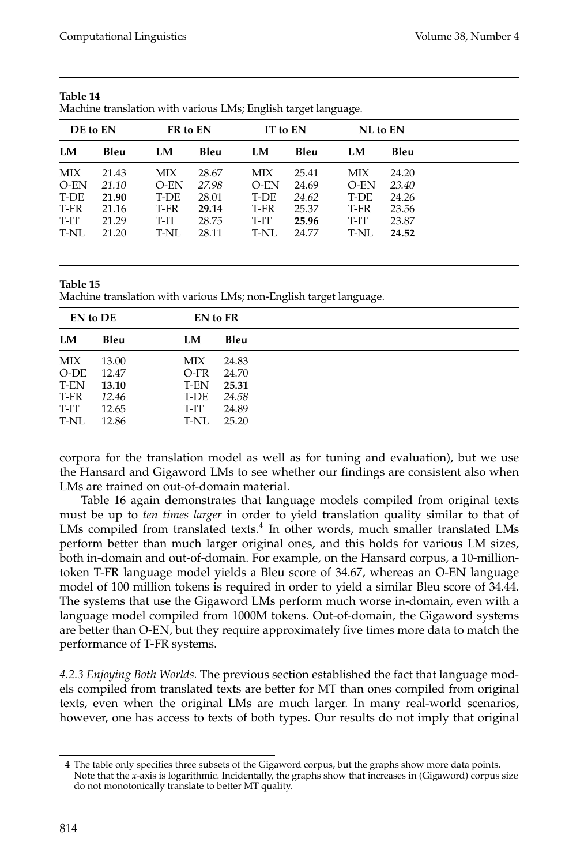| DE to EN   |       | FR to EN |       | IT to EN |       | NL to EN |       |
|------------|-------|----------|-------|----------|-------|----------|-------|
| LM         | Bleu  | LM       | Bleu  | LM       | Bleu  | LM       | Bleu  |
| <b>MIX</b> | 21.43 | MIX      | 28.67 | MIX      | 25.41 | МIХ      | 24.20 |
| $O-EN$     | 21.10 | $O-EN$   | 27.98 | $O-EN$   | 24.69 | $O-EN$   | 23.40 |
| T-DE       | 21.90 | T-DE     | 28.01 | T-DE     | 24.62 | T-DE     | 24.26 |
| T-FR       | 21.16 | T-FR     | 29.14 | T-FR     | 25.37 | T-FR     | 23.56 |
| T-IT       | 21.29 | T-IT     | 28.75 | T-IT     | 25.96 | T-IT     | 23.87 |
| T-NL       | 21.20 | T-NL     | 28.11 | T-NL     | 24.77 | T-NL     | 24.52 |

| Table 14                                                       |  |
|----------------------------------------------------------------|--|
| Machine translation with various LMs; English target language. |  |

**Table 15** Machine translation with various LMs; non-English target language.

| EN to DE |       | <b>EN</b> to FR |       |
|----------|-------|-----------------|-------|
| LM       | Bleu  | LM              | Bleu  |
| MIX      | 13.00 | <b>MIX</b>      | 24.83 |
| $O-DE$   | 12.47 | O-FR            | 24.70 |
| T-EN     | 13.10 | T-EN            | 25.31 |
| T-FR     | 12.46 | T-DE            | 24.58 |
| T-IT     | 12.65 | T-IT            | 24.89 |
| T-NL     | 12.86 | T-NL            | 25.20 |

corpora for the translation model as well as for tuningand evaluation), but we use the Hansard and Gigaword LMs to see whether our findings are consistent also when LMs are trained on out-of-domain material.

Table 16 again demonstrates that language models compiled from original texts must be up to *ten times larger* in order to yield translation quality similar to that of LMs compiled from translated texts. $4$  In other words, much smaller translated LMs perform better than much larger original ones, and this holds for various LM sizes, both in-domain and out-of-domain. For example, on the Hansard corpus, a 10-milliontoken T-FR language model yields a Bleu score of 34.67, whereas an O-EN language model of 100 million tokens is required in order to yield a similar Bleu score of 34.44. The systems that use the Gigaword LMs perform much worse in-domain, even with a language model compiled from 1000M tokens. Out-of-domain, the Gigaword systems are better than O-EN, but they require approximately five times more data to match the performance of T-FR systems.

*4.2.3 Enjoying Both Worlds.* The previous section established the fact that language models compiled from translated texts are better for MT than ones compiled from original texts, even when the original LMs are much larger. In many real-world scenarios, however, one has access to texts of both types. Our results do not imply that original

<sup>4</sup> The table only specifies three subsets of the Gigaword corpus, but the graphs show more data points. Note that the *x*-axis is logarithmic. Incidentally, the graphs show that increases in (Gigaword) corpus size do not monotonically translate to better MT quality.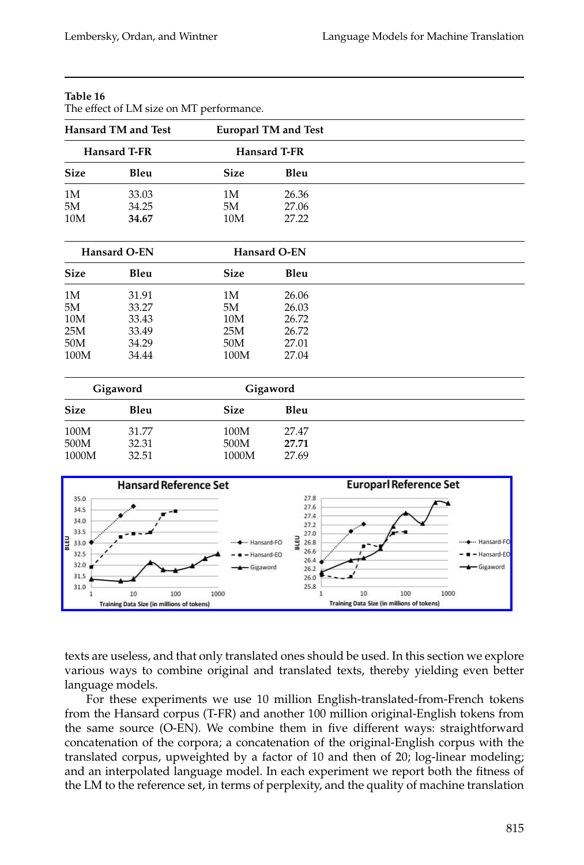|             | The effect of LM size on MT performance. |             |                             |  |
|-------------|------------------------------------------|-------------|-----------------------------|--|
|             | Hansard TM and Test                      |             | <b>Europarl TM and Test</b> |  |
|             | Hansard T-FR                             |             | Hansard T-FR                |  |
| <b>Size</b> | Bleu                                     | <b>Size</b> | Bleu                        |  |
| 1M          | 33.03                                    | 1М          | 26.36                       |  |
| 5M          | 34.25                                    | 5M          | 27.06                       |  |
| 10M         | 34.67                                    | 10M         | 27.22                       |  |
|             | Hansard O-EN                             |             | Hansard O-EN                |  |
| <b>Size</b> | Bleu                                     | <b>Size</b> | Bleu                        |  |
| 1M          | 31.91                                    | 1M          | 26.06                       |  |
| 5M          | 33.27                                    | 5M          | 26.03                       |  |
| 10M         | 33.43                                    | 10M         | 26.72                       |  |
| 25M         | 33.49                                    | 25M         | 26.72                       |  |
| 50M         | 34.29                                    | 50M         | 27.01                       |  |
| 100M        | 34.44                                    | 100M        | 27.04                       |  |
|             | Gigaword                                 |             | Gigaword                    |  |
| <b>Size</b> | Bleu                                     | <b>Size</b> | Bleu                        |  |

100M 31.77 500M 32.31<br>1000M 32.51

1000M

The effect of LM size on MT performance.



100M 27.47 500M **27.71**

1000M

texts are useless, and that only translated ones should be used. In this section we explore various ways to combine original and translated texts, thereby yielding even better language models.

For these experiments we use 10 million English-translated-from-French tokens from the Hansard corpus (T-FR) and another 100 million original-English tokens from the same source (O-EN). We combine them in five different ways: straightforward concatenation of the corpora; a concatenation of the original-English corpus with the translated corpus, upweighted by a factor of 10 and then of 20; log-linear modeling; and an interpolated language model. In each experiment we report both the fitness of the LM to the reference set, in terms of perplexity, and the quality of machine translation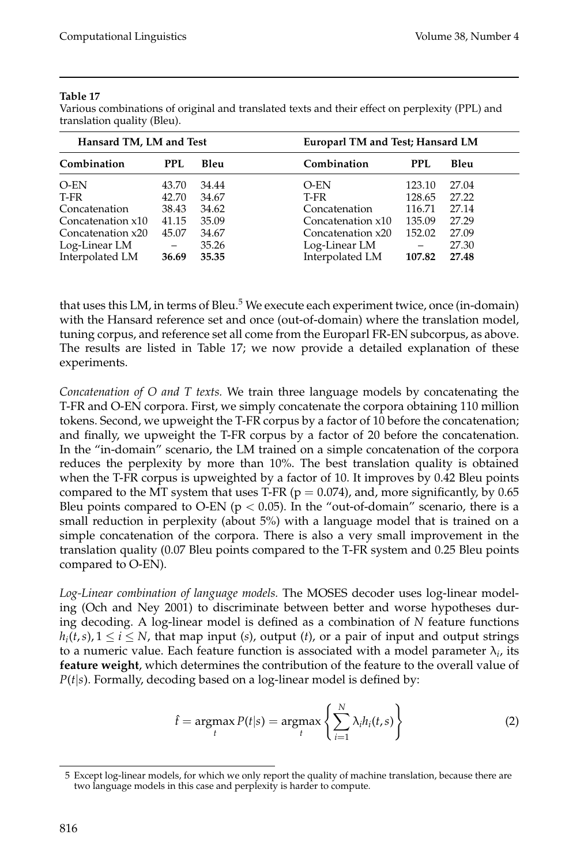Various combinations of original and translated texts and their effect on perplexity (PPL) and translation quality (Bleu).

| Hansard TM, LM and Test   |                          |       |                   | Europarl TM and Test; Hansard LM |       |  |  |
|---------------------------|--------------------------|-------|-------------------|----------------------------------|-------|--|--|
| Combination<br><b>PPL</b> |                          | Bleu  | Combination       | <b>PPL</b>                       | Bleu  |  |  |
| $O$ -EN                   | 43.70                    | 34.44 | O-EN              | 123.10                           | 27.04 |  |  |
| T-FR                      | 42.70                    | 34.67 | T-FR              | 128.65                           | 27.22 |  |  |
| Concatenation             | 38.43                    | 34.62 | Concatenation     | 116.71                           | 27.14 |  |  |
| Concatenation x10         | 41.15                    | 35.09 | Concatenation x10 | 135.09                           | 27.29 |  |  |
| Concatenation x20         | 45.07                    | 34.67 | Concatenation x20 | 152.02                           | 27.09 |  |  |
| Log-Linear LM             | $\overline{\phantom{0}}$ | 35.26 | Log-Linear LM     | $\overline{\phantom{0}}$         | 27.30 |  |  |
| Interpolated LM           | 36.69                    | 35.35 | Interpolated LM   | 107.82                           | 27.48 |  |  |

that uses this LM, in terms of Bleu.<sup>5</sup> We execute each experiment twice, once (in-domain) with the Hansard reference set and once (out-of-domain) where the translation model, tuning corpus, and reference set all come from the Europarl FR-EN subcorpus, as above. The results are listed in Table 17; we now provide a detailed explanation of these experiments.

*Concatenation of O and T texts.* We train three language models by concatenating the T-FR and O-EN corpora. First, we simply concatenate the corpora obtaining110 million tokens. Second, we upweight the T-FR corpus by a factor of 10 before the concatenation; and finally, we upweight the T-FR corpus by a factor of 20 before the concatenation. In the "in-domain" scenario, the LM trained on a simple concatenation of the corpora reduces the perplexity by more than 10%. The best translation quality is obtained when the T-FR corpus is upweighted by a factor of 10. It improves by 0.42 Bleu points compared to the MT system that uses T-FR ( $p = 0.074$ ), and, more significantly, by 0.65 Bleu points compared to O-EN ( $p < 0.05$ ). In the "out-of-domain" scenario, there is a small reduction in perplexity (about 5%) with a language model that is trained on a simple concatenation of the corpora. There is also a very small improvement in the translation quality (0.07 Bleu points compared to the T-FR system and 0.25 Bleu points compared to O-EN).

*Log-Linear combination of language models.* The MOSES decoder uses log-linear modeling(Och and Ney 2001) to discriminate between better and worse hypotheses during decoding. A log-linear model is defined as a combination of *N* feature functions  $h_i(t, s)$ ,  $1 \le i \le N$ , that map input (*s*), output (*t*), or a pair of input and output strings to a numeric value. Each feature function is associated with a model parameter  $\lambda_i$ , its **feature weight**, which determines the contribution of the feature to the overall value of  $P(t|s)$ . Formally, decoding based on a log-linear model is defined by:

$$
\hat{t} = \underset{t}{\operatorname{argmax}} P(t|s) = \underset{t}{\operatorname{argmax}} \left\{ \sum_{i=1}^{N} \lambda_i h_i(t,s) \right\} \tag{2}
$$

<sup>5</sup> Except log-linear models, for which we only report the quality of machine translation, because there are two language models in this case and perplexity is harder to compute.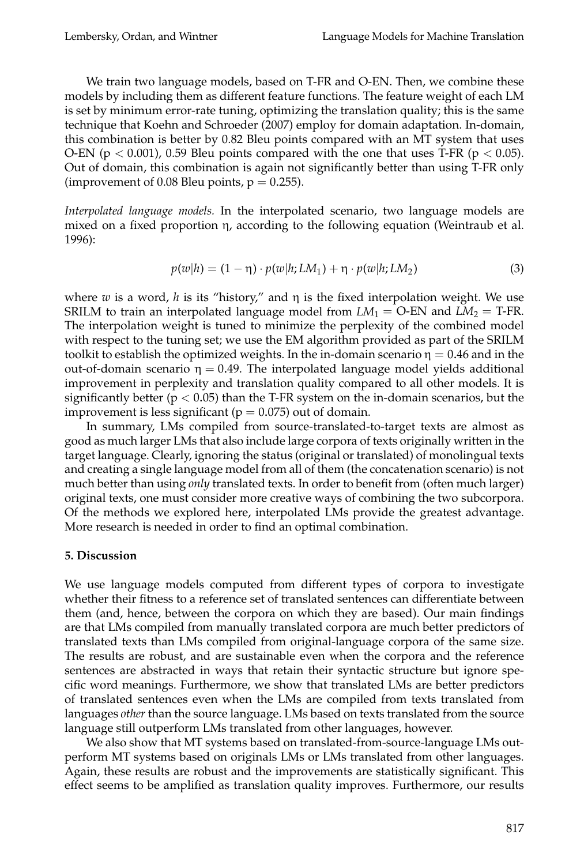We train two language models, based on T-FR and O-EN. Then, we combine these models by including them as different feature functions. The feature weight of each LM is set by minimum error-rate tuning, optimizing the translation quality; this is the same technique that Koehn and Schroeder (2007) employ for domain adaptation. In-domain, this combination is better by 0.82 Bleu points compared with an MT system that uses O-EN ( $p < 0.001$ ), 0.59 Bleu points compared with the one that uses T-FR ( $p < 0.05$ ). Out of domain, this combination is again not significantly better than using T-FR only (improvement of 0.08 Bleu points,  $p = 0.255$ ).

*Interpolated language models.* In the interpolated scenario, two language models are mixed on a fixed proportion  $\eta$ , according to the following equation (Weintraub et al. 1996):

$$
p(w|h) = (1 - \eta) \cdot p(w|h; LM_1) + \eta \cdot p(w|h; LM_2)
$$
\n(3)

where *w* is a word, *h* is its "history," and  $\eta$  is the fixed interpolation weight. We use SRILM to train an interpolated language model from  $LM_1 = O$ -EN and  $LM_2 = T$ -FR. The interpolation weight is tuned to minimize the perplexity of the combined model with respect to the tuning set; we use the EM algorithm provided as part of the SRILM toolkit to establish the optimized weights. In the in-domain scenario  $\eta = 0.46$  and in the out-of-domain scenario η = 0.49. The interpolated language model yields additional improvement in perplexity and translation quality compared to all other models. It is significantly better ( $p < 0.05$ ) than the T-FR system on the in-domain scenarios, but the improvement is less significant ( $p = 0.075$ ) out of domain.

In summary, LMs compiled from source-translated-to-target texts are almost as good as much larger LMs that also include large corpora of texts originally written in the target language. Clearly, ignoring the status (original or translated) of monolingual texts and creating a single language model from all of them (the concatenation scenario) is not much better than using *only* translated texts. In order to benefit from (often much larger) original texts, one must consider more creative ways of combining the two subcorpora. Of the methods we explored here, interpolated LMs provide the greatest advantage. More research is needed in order to find an optimal combination.

#### **5. Discussion**

We use language models computed from different types of corpora to investigate whether their fitness to a reference set of translated sentences can differentiate between them (and, hence, between the corpora on which they are based). Our main findings are that LMs compiled from manually translated corpora are much better predictors of translated texts than LMs compiled from original-language corpora of the same size. The results are robust, and are sustainable even when the corpora and the reference sentences are abstracted in ways that retain their syntactic structure but ignore specific word meanings. Furthermore, we show that translated LMs are better predictors of translated sentences even when the LMs are compiled from texts translated from languages *other* than the source language. LMs based on texts translated from the source language still outperform LMs translated from other languages, however.

We also show that MT systems based on translated-from-source-language LMs outperform MT systems based on originals LMs or LMs translated from other languages. Again, these results are robust and the improvements are statistically significant. This effect seems to be amplified as translation quality improves. Furthermore, our results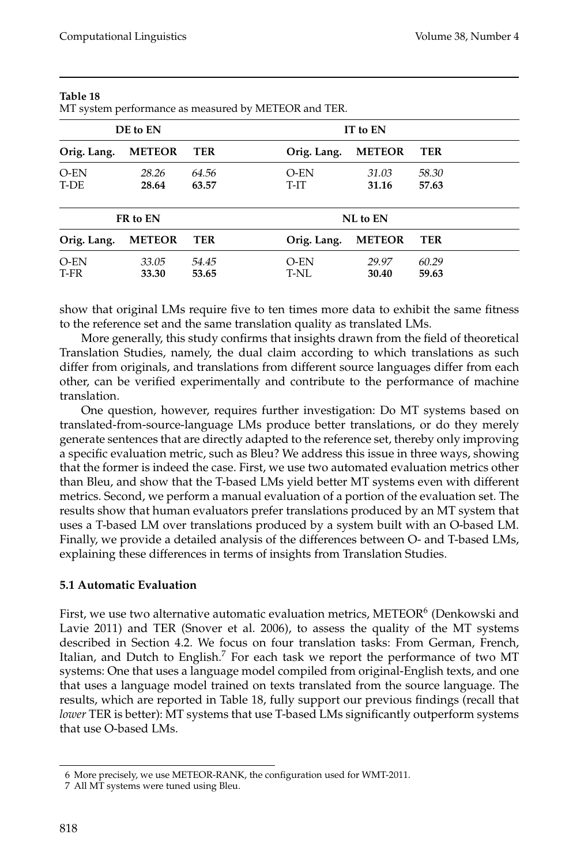|             |               |            | <b>IVEL System performance as ineasured by IVILTEOR and TER.</b> |               |            |  |
|-------------|---------------|------------|------------------------------------------------------------------|---------------|------------|--|
| DE to EN    |               |            | IT to EN                                                         |               |            |  |
| Orig. Lang. | <b>METEOR</b> | <b>TER</b> | Orig. Lang.                                                      | <b>METEOR</b> | <b>TER</b> |  |
| $O-EN$      | 28.26         | 64.56      | $O-EN$                                                           | 31.03         | 58.30      |  |
| T-DE        | 28.64         | 63.57      | T-IT                                                             | 31.16         | 57.63      |  |
|             | FR to EN      |            |                                                                  | NL to EN      |            |  |
| Orig. Lang. | <b>METEOR</b> | <b>TER</b> | Orig. Lang.                                                      | <b>METEOR</b> | <b>TER</b> |  |
| $O-EN$      | 33.05         | 54.45      | $O-EN$                                                           | 29.97         | 60.29      |  |
| T-FR        | 33.30         | 53.65      | T-NL                                                             | 30.40         | 59.63      |  |

MT system performance as measured by METEOR and TER.

show that original LMs require five to ten times more data to exhibit the same fitness to the reference set and the same translation quality as translated LMs.

More generally, this study confirms that insights drawn from the field of theoretical Translation Studies, namely, the dual claim according to which translations as such differ from originals, and translations from different source languages differ from each other, can be verified experimentally and contribute to the performance of machine translation.

One question, however, requires further investigation: Do MT systems based on translated-from-source-language LMs produce better translations, or do they merely generate sentences that are directly adapted to the reference set, thereby only improving a specific evaluation metric, such as Bleu? We address this issue in three ways, showing that the former is indeed the case. First, we use two automated evaluation metrics other than Bleu, and show that the T-based LMs yield better MT systems even with different metrics. Second, we perform a manual evaluation of a portion of the evaluation set. The results show that human evaluators prefer translations produced by an MT system that uses a T-based LM over translations produced by a system built with an O-based LM. Finally, we provide a detailed analysis of the differences between O- and T-based LMs, explaining these differences in terms of insights from Translation Studies.

# **5.1 Automatic Evaluation**

First, we use two alternative automatic evaluation metrics, METEOR<sup>6</sup> (Denkowski and Lavie 2011) and TER (Snover et al. 2006), to assess the quality of the MT systems described in Section 4.2. We focus on four translation tasks: From German, French, Italian, and Dutch to English.<sup>7</sup> For each task we report the performance of two MT systems: One that uses a language model compiled from original-English texts, and one that uses a language model trained on texts translated from the source language. The results, which are reported in Table 18, fully support our previous findings (recall that *lower* TER is better): MT systems that use T-based LMs significantly outperform systems that use O-based LMs.

<sup>6</sup> More precisely, we use METEOR-RANK, the configuration used for WMT-2011.

<sup>7</sup> All MT systems were tuned using Bleu.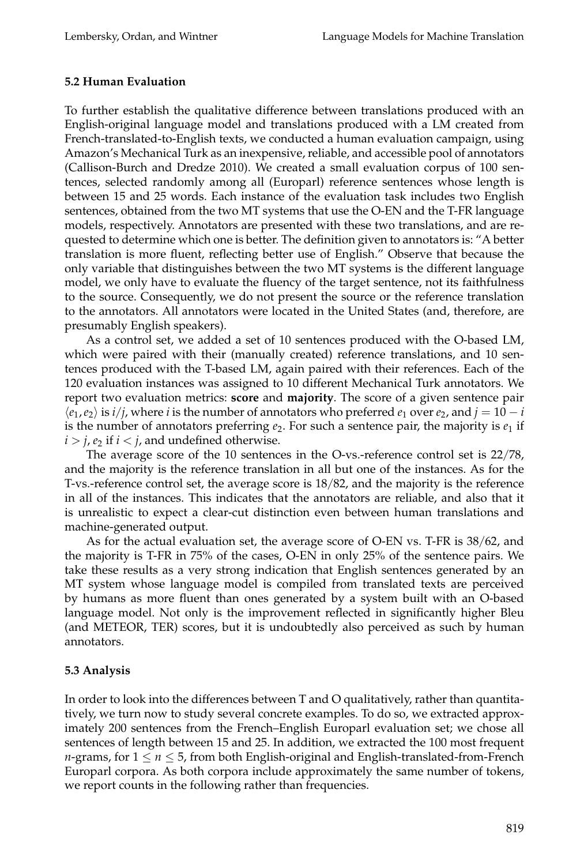## **5.2 Human Evaluation**

To further establish the qualitative difference between translations produced with an English-original language model and translations produced with a LM created from French-translated-to-English texts, we conducted a human evaluation campaign, using Amazon's Mechanical Turk as an inexpensive, reliable, and accessible pool of annotators (Callison-Burch and Dredze 2010). We created a small evaluation corpus of 100 sentences, selected randomly among all (Europarl) reference sentences whose length is between 15 and 25 words. Each instance of the evaluation task includes two English sentences, obtained from the two MT systems that use the O-EN and the T-FR language models, respectively. Annotators are presented with these two translations, and are requested to determine which one is better. The definition given to annotators is: "A better translation is more fluent, reflecting better use of English." Observe that because the only variable that distinguishes between the two MT systems is the different language model, we only have to evaluate the fluency of the target sentence, not its faithfulness to the source. Consequently, we do not present the source or the reference translation to the annotators. All annotators were located in the United States (and, therefore, are presumably English speakers).

As a control set, we added a set of 10 sentences produced with the O-based LM, which were paired with their (manually created) reference translations, and 10 sentences produced with the T-based LM, again paired with their references. Each of the 120 evaluation instances was assigned to 10 different Mechanical Turk annotators. We report two evaluation metrics: **score** and **majority**. The score of a given sentence pair  $\langle e_1, e_2 \rangle$  is *i*/*j*, where *i* is the number of annotators who preferred  $e_1$  over  $e_2$ , and *j* = 10 − *i* is the number of annotators preferring  $e_2$ . For such a sentence pair, the majority is  $e_1$  if  $i > j$ ,  $e_2$  if  $i < j$ , and undefined otherwise.

The average score of the 10 sentences in the O-vs.-reference control set is 22/78, and the majority is the reference translation in all but one of the instances. As for the T-vs.-reference control set, the average score is 18/82, and the majority is the reference in all of the instances. This indicates that the annotators are reliable, and also that it is unrealistic to expect a clear-cut distinction even between human translations and machine-generated output.

As for the actual evaluation set, the average score of O-EN vs. T-FR is 38/62, and the majority is T-FR in 75% of the cases, O-EN in only 25% of the sentence pairs. We take these results as a very strong indication that English sentences generated by an MT system whose language model is compiled from translated texts are perceived by humans as more fluent than ones generated by a system built with an O-based language model. Not only is the improvement reflected in significantly higher Bleu (and METEOR, TER) scores, but it is undoubtedly also perceived as such by human annotators.

## **5.3 Analysis**

In order to look into the differences between T and O qualitatively, rather than quantitatively, we turn now to study several concrete examples. To do so, we extracted approximately 200 sentences from the French–English Europarl evaluation set; we chose all sentences of length between 15 and 25. In addition, we extracted the 100 most frequent *n*-grams, for  $1 \le n \le 5$ , from both English-original and English-translated-from-French Europarl corpora. As both corpora include approximately the same number of tokens, we report counts in the following rather than frequencies.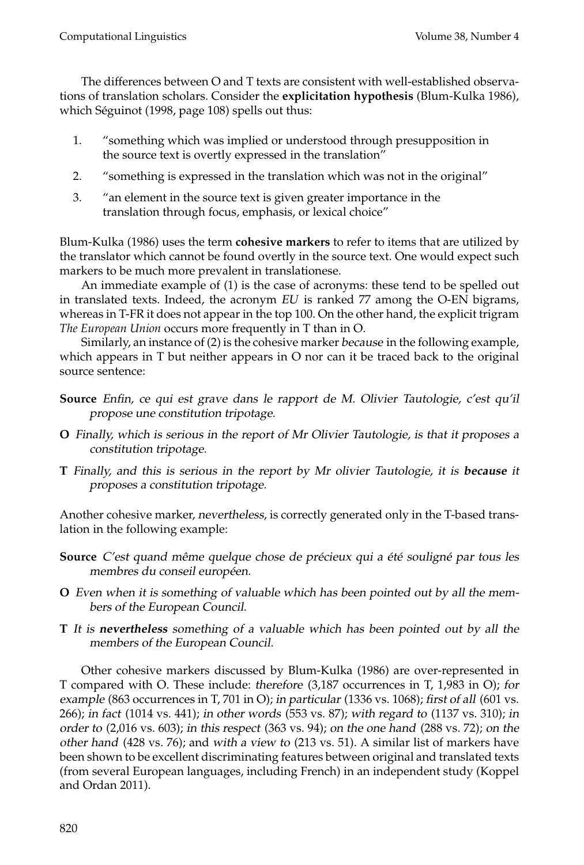The differences between O and T texts are consistent with well-established observations of translation scholars. Consider the **explicitation hypothesis** (Blum-Kulka 1986), which Séguinot (1998, page 108) spells out thus:

- 1. "something which was implied or understood through presupposition in the source text is overtly expressed in the translation"
- 2. "something is expressed in the translation which was not in the original"
- 3. "an element in the source text is given greater importance in the translation through focus, emphasis, or lexical choice"

Blum-Kulka (1986) uses the term **cohesive markers** to refer to items that are utilized by the translator which cannot be found overtly in the source text. One would expect such markers to be much more prevalent in translationese.

An immediate example of (1) is the case of acronyms: these tend to be spelled out in translated texts. Indeed, the acronym  $EU$  is ranked 77 among the O-EN bigrams, whereas in T-FR it does not appear in the top 100. On the other hand, the explicit trigram *The European Union* occurs more frequently in T than in O.

Similarly, an instance of (2) is the cohesive marker *because* in the following example, which appears in T but neither appears in O nor can it be traced back to the original source sentence:

- **Source** Enfin, ce qui est grave dans le rapport de M. Olivier Tautologie, <sup>c</sup>'est qu'il propose une constitution tripotage.
- **O** Finally, which is serious in the report of Mr Olivier Tautologie, is that it proposes <sup>a</sup> constitution tripotage.
- **T** Finally, and this is serious in the report by Mr olivier Tautologie, it is **because** it proposes <sup>a</sup> constitution tripotage.

Another cohesive marker, nevertheless, is correctly generated only in the T-based translation in the following example:

- **Source** C'est quand même quelque chose de précieux qui a été souligné par tous les membres du conseil européen.
- **O** Even when it is something of valuable which has been pointed out by all the members of the European Council.
- **T** It is **nevertheless** something of a valuable which has been pointed out by all the members of the European Council.

Other cohesive markers discussed by Blum-Kulka (1986) are over-represented in T compared with O. These include: therefore (3,187 occurrences in T, 1,983 in O); for example (863 occurrences in T, 701 in O); in particular (1336 vs. 1068); first of all (601 vs. 266); in fact (1014 vs. 441); in other words (553 vs. 87); with regard to (1137 vs. 310); in order to (2,016 vs. 603); in this respect (363 vs. 94); on the one hand (288 vs. 72); on the other hand (428 vs. 76); and with <sup>a</sup> view to (213 vs. 51). A similar list of markers have been shown to be excellent discriminating features between original and translated texts (from several European languages, including French) in an independent study (Koppel and Ordan 2011).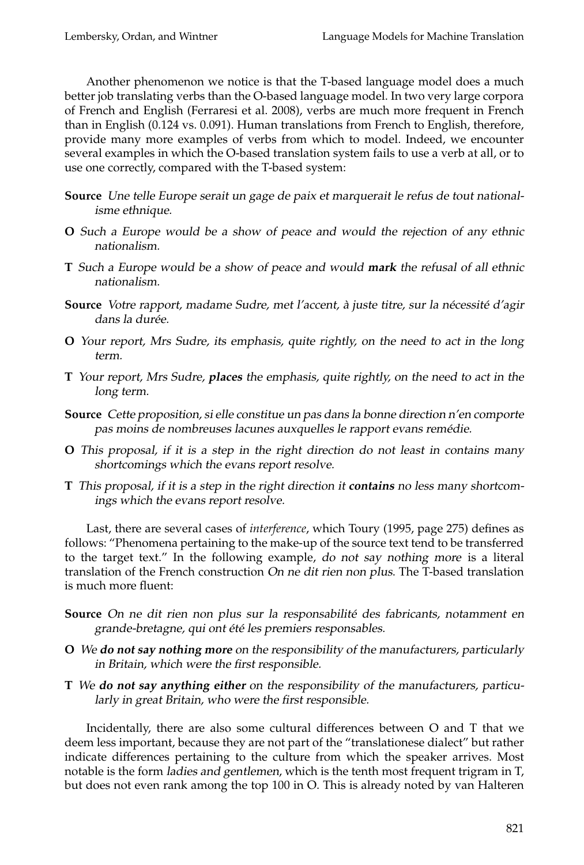Another phenomenon we notice is that the T-based language model does a much better job translating verbs than the O-based language model. In two very large corpora of French and English (Ferraresi et al. 2008), verbs are much more frequent in French than in English (0.124 vs. 0.091). Human translations from French to English, therefore, provide many more examples of verbs from which to model. Indeed, we encounter several examples in which the O-based translation system fails to use a verb at all, or to use one correctly, compared with the T-based system:

- **Source** Une telle Europe serait un gage de paix et marquerait le refus de tout nationalisme ethnique.
- **O** Such <sup>a</sup> Europe would be <sup>a</sup> show of peace and would the rejection of any ethnic nationalism.
- **T** Such <sup>a</sup> Europe would be <sup>a</sup> show of peace and would **mark** the refusal of all ethnic nationalism.
- **Source** Votre rapport, madame Sudre, met l'accent, à juste titre, sur la nécessité d'agir dans la durée.
- **O** Your report, Mrs Sudre, its emphasis, quite rightly, on the need to act in the long term.
- **T** Your report, Mrs Sudre, **places** the emphasis, quite rightly, on the need to act in the long term.
- **Source** Cette proposition, si elle constitue un pas dans la bonne direction <sup>n</sup>'en comporte pas moins de nombreuses lacunes auxquelles le rapport evans remedie. ´
- **O** This proposal, if it is <sup>a</sup> step in the right direction do not least in contains many shortcomings which the evans report resolve.
- **T** This proposal, if it is <sup>a</sup> step in the right direction it **contains** no less many shortcomings which the evans report resolve.

Last, there are several cases of *interference*, which Toury (1995, page 275) defines as follows: "Phenomena pertaining to the make-up of the source text tend to be transferred to the target text." In the following example, do not say nothing more is a literal translation of the French construction On ne dit rien non plus. The T-based translation is much more fluent:

- **Source** On ne dit rien non plus sur la responsabilite des fabricants, notamment en ´ grande-bretagne, qui ont été les premiers responsables.
- **O** We **do not say nothing more** on the responsibility of the manufacturers, particularly in Britain, which were the first responsible.
- **T** We **do not say anything either** on the responsibility of the manufacturers, particularly in great Britain, who were the first responsible.

Incidentally, there are also some cultural differences between O and T that we deem less important, because they are not part of the "translationese dialect" but rather indicate differences pertaining to the culture from which the speaker arrives. Most notable is the form ladies and gentlemen, which is the tenth most frequent trigram in T, but does not even rank among the top 100 in O. This is already noted by van Halteren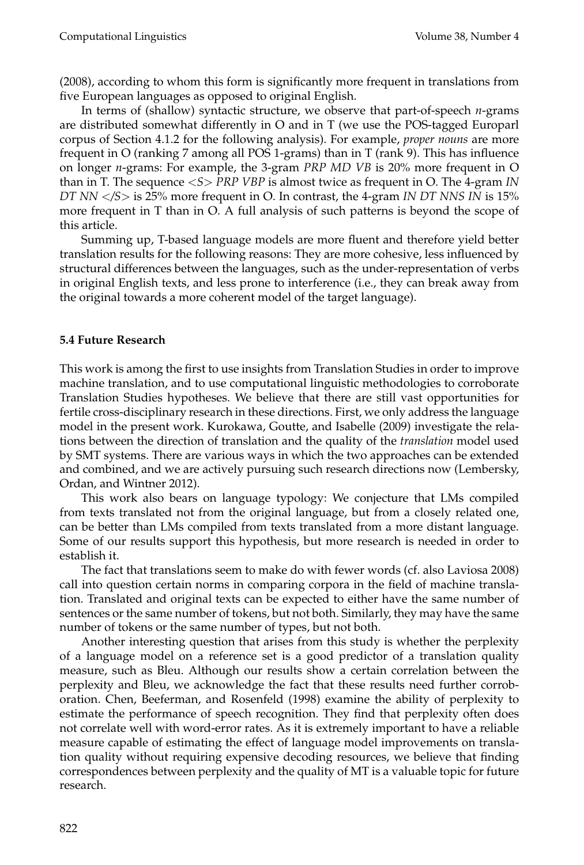$(2008)$ , according to whom this form is significantly more frequent in translations from five European languages as opposed to original English.

In terms of (shallow) syntactic structure, we observe that part-of-speech *n*-grams are distributed somewhat differently in O and in T (we use the POS-tagged Europarl corpus of Section 4.1.2 for the followinganalysis). For example, *proper nouns* are more frequent in O (ranking 7 among all POS 1-grams) than in T (rank 9). This has influence on longer *n*-grams: For example, the 3-gram *PRP MD VB* is 20% more frequent in O than in T. The sequence <*S*> *PRP VBP* is almost twice as frequent in O. The 4-gram *IN DT NN* <*/S*> is 25% more frequent in O. In contrast, the 4-gram *IN DT NNS IN* is 15% more frequent in T than in O. A full analysis of such patterns is beyond the scope of this article.

Summing up, T-based language models are more fluent and therefore yield better translation results for the following reasons: They are more cohesive, less influenced by structural differences between the languages, such as the under-representation of verbs in original English texts, and less prone to interference (i.e., they can break away from the original towards a more coherent model of the target language).

# **5.4 Future Research**

This work is among the first to use insights from Translation Studies in order to improve machine translation, and to use computational linguistic methodologies to corroborate Translation Studies hypotheses. We believe that there are still vast opportunities for fertile cross-disciplinary research in these directions. First, we only address the language model in the present work. Kurokawa, Goutte, and Isabelle (2009) investigate the relations between the direction of translation and the quality of the *translation* model used by SMT systems. There are various ways in which the two approaches can be extended and combined, and we are actively pursuing such research directions now (Lembersky, Ordan, and Wintner 2012).

This work also bears on language typology: We conjecture that LMs compiled from texts translated not from the original language, but from a closely related one, can be better than LMs compiled from texts translated from a more distant language. Some of our results support this hypothesis, but more research is needed in order to establish it.

The fact that translations seem to make do with fewer words (cf. also Laviosa 2008) call into question certain norms in comparing corpora in the field of machine translation. Translated and original texts can be expected to either have the same number of sentences or the same number of tokens, but not both. Similarly, they may have the same number of tokens or the same number of types, but not both.

Another interesting question that arises from this study is whether the perplexity of a language model on a reference set is a good predictor of a translation quality measure, such as Bleu. Although our results show a certain correlation between the perplexity and Bleu, we acknowledge the fact that these results need further corroboration. Chen, Beeferman, and Rosenfeld (1998) examine the ability of perplexity to estimate the performance of speech recognition. They find that perplexity often does not correlate well with word-error rates. As it is extremely important to have a reliable measure capable of estimating the effect of language model improvements on translation quality without requiring expensive decoding resources, we believe that finding correspondences between perplexity and the quality of MT is a valuable topic for future research.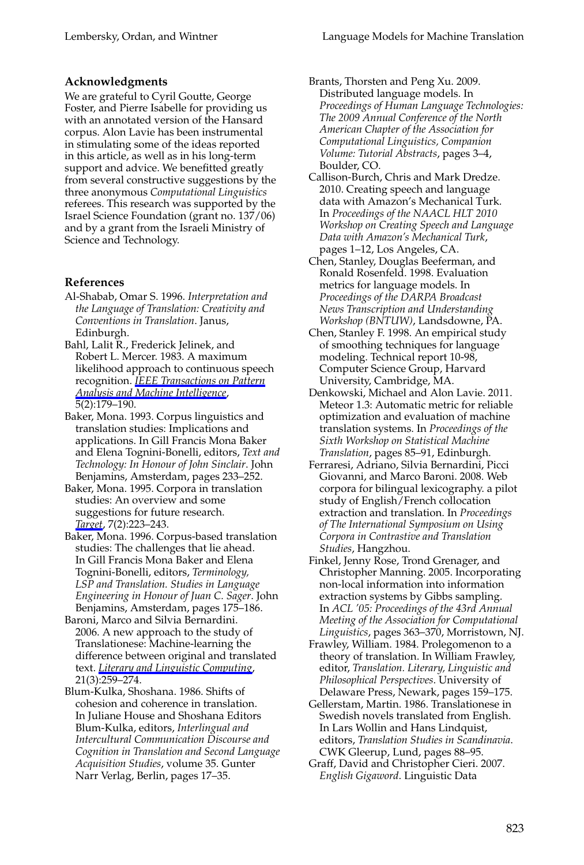# **Acknowledgments**

We are grateful to Cyril Goutte, George Foster, and Pierre Isabelle for providing us with an annotated version of the Hansard corpus. Alon Lavie has been instrumental in stimulating some of the ideas reported in this article, as well as in his long-term support and advice. We benefitted greatly from several constructive suggestions by the three anonymous *Computational Linguistics* referees. This research was supported by the Israel Science Foundation (grant no. 137/06) and by a grant from the Israeli Ministry of Science and Technology.

# **References**

- Al-Shabab, Omar S. 1996. *Interpretation and the Language of Translation: Creativity and Conventions in Translation*. Janus, Edinburgh.
- Bahl, Lalit R., Frederick Jelinek, and Robert L. Mercer. 1983. A maximum likelihood approach to continuous speech recognition. *IEEE Transactions on Pattern Analysis and Machine Intelligence*, 5(2):179–190.
- Baker, Mona. 1993. Corpus linguistics and translation studies: Implications and applications. In Gill Francis Mona Baker and Elena Tognini-Bonelli, editors, *Text and Technology: In Honour of John Sinclair*. John Benjamins, Amsterdam, pages 233–252.
- Baker, Mona. 1995. Corpora in translation studies: An overview and some suggestions for future research. *Target*, 7(2):223–243.
- Baker, Mona. 1996. Corpus-based translation studies: The challenges that lie ahead. In Gill Francis Mona Baker and Elena Tognini-Bonelli, editors, *Terminology, LSPand Translation. Studies in Language Engineering in Honour of Juan C. Sager*. John Benjamins, Amsterdam, pages 175–186.
- Baroni, Marco and Silvia Bernardini. 2006. A new approach to the study of Translationese: Machine-learning the difference between original and translated text. *Literary and Linguistic Computing*, 21(3):259–274.
- Blum-Kulka, Shoshana. 1986. Shifts of cohesion and coherence in translation. In Juliane House and Shoshana Editors Blum-Kulka, editors, *Interlingual and Intercultural Communication Discourse and Cognition in Translation and Second Language Acquisition Studies*, volume 35. Gunter Narr Verlag, Berlin, pages 17–35.
- Brants, Thorsten and Peng Xu. 2009. Distributed language models. In *Proceedings of Human Language Technologies: The 2009 Annual Conference of the North American Chapter of the Association for Computational Linguistics, Companion Volume: Tutorial Abstracts*, pages 3–4, Boulder, CO.
- Callison-Burch, Chris and Mark Dredze. 2010. Creating speech and language data with Amazon's Mechanical Turk. In *Proceedings of the NAACL HLT 2010 Workshop on Creating Speech and Language Data with Amazon's Mechanical Turk*, pages 1–12, Los Angeles, CA.
- Chen, Stanley, Douglas Beeferman, and Ronald Rosenfeld. 1998. Evaluation metrics for language models. In *Proceedings of the DARPA Broadcast News Transcription and Understanding Workshop (BNTUW)*, Landsdowne, PA.
- Chen, Stanley F. 1998. An empirical study of smoothing techniques for language modeling. Technical report 10-98, Computer Science Group, Harvard University, Cambridge, MA.
- Denkowski, Michael and Alon Lavie. 2011. Meteor 1.3: Automatic metric for reliable optimization and evaluation of machine translation systems. In *Proceedings of the Sixth Workshop on Statistical Machine Translation*, pages 85–91, Edinburgh.
- Ferraresi, Adriano, Silvia Bernardini, Picci Giovanni, and Marco Baroni. 2008. Web corpora for bilingual lexicography. a pilot study of English/French collocation extraction and translation. In *Proceedings of The International Symposium on Using Corpora in Contrastive and Translation Studies*, Hangzhou.
- Finkel, Jenny Rose, Trond Grenager, and Christopher Manning. 2005. Incorporating non-local information into information extraction systems by Gibbs sampling. In *ACL '05: Proceedings of the 43rd Annual Meeting of the Association for Computational Linguistics*, pages 363–370, Morristown, NJ.
- Frawley, William. 1984. Prolegomenon to a theory of translation. In William Frawley, editor, *Translation. Literary, Linguistic and Philosophical Perspectives*. University of Delaware Press, Newark, pages 159–175.
- Gellerstam, Martin. 1986. Translationese in Swedish novels translated from English. In Lars Wollin and Hans Lindquist, editors, *Translation Studies in Scandinavia*. CWK Gleerup, Lund, pages 88–95.
- Graff, David and Christopher Cieri. 2007. *English Gigaword*. Linguistic Data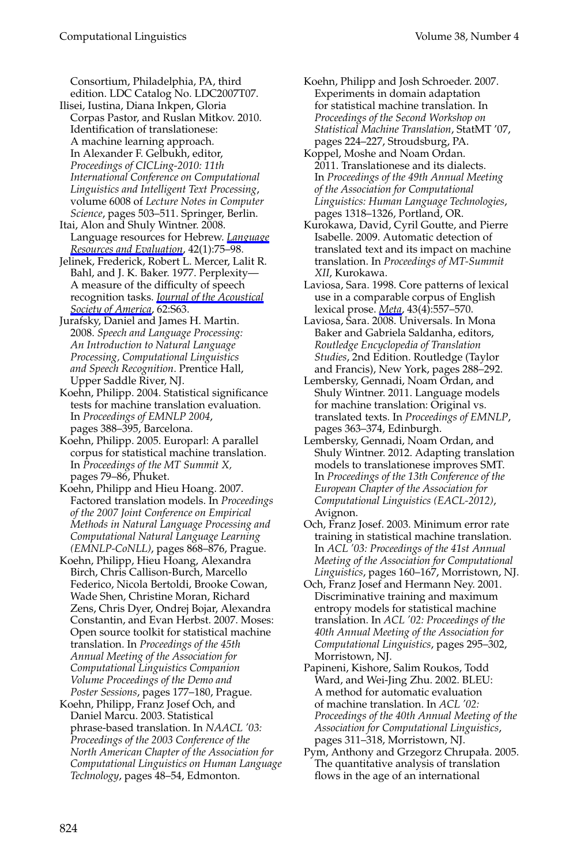Consortium, Philadelphia, PA, third edition. LDC Catalog No. LDC2007T07.

- Ilisei, Iustina, Diana Inkpen, Gloria Corpas Pastor, and Ruslan Mitkov. 2010. Identification of translationese: A machine learning approach. In Alexander F. Gelbukh, editor, *Proceedings of CICLing-2010: 11th International Conference on Computational Linguistics and Intelligent Text Processing*, volume 6008 of *Lecture Notes in Computer Science*, pages 503–511. Springer, Berlin.
- Itai, Alon and Shuly Wintner. 2008. Language resources for Hebrew. *Language Resources and Evaluation*, 42(1):75–98.
- Jelinek, Frederick, Robert L. Mercer, Lalit R. Bahl, and J. K. Baker. 1977. Perplexity— A measure of the difficulty of speech recognition tasks. *Journal of the Acoustical Society of America*, 62:S63.
- Jurafsky, Daniel and James H. Martin. 2008. *Speech and Language Processing: An Introduction to Natural Language Processing, Computational Linguistics and Speech Recognition*. Prentice Hall, Upper Saddle River, NJ.
- Koehn, Philipp. 2004. Statistical significance tests for machine translation evaluation. In *Proceedings of EMNLP 2004*, pages 388–395, Barcelona.
- Koehn, Philipp. 2005. Europarl: A parallel corpus for statistical machine translation. In *Proceedings of the MT Summit X,* pages 79–86, Phuket.
- Koehn, Philipp and Hieu Hoang. 2007. Factored translation models. In *Proceedings of the 2007 Joint Conference on Empirical Methods in Natural Language Processing and Computational Natural Language Learning (EMNLP-CoNLL)*, pages 868–876, Prague.
- Koehn, Philipp, Hieu Hoang, Alexandra Birch, Chris Callison-Burch, Marcello Federico, Nicola Bertoldi, Brooke Cowan, Wade Shen, Christine Moran, Richard Zens, Chris Dyer, Ondrej Bojar, Alexandra Constantin, and Evan Herbst. 2007. Moses: Open source toolkit for statistical machine translation. In *Proceedings of the 45th Annual Meeting of the Association for Computational Linguistics Companion Volume Proceedings of the Demo and Poster Sessions*, pages 177–180, Prague.
- Koehn, Philipp, Franz Josef Och, and Daniel Marcu. 2003. Statistical phrase-based translation. In *NAACL '03: Proceedings of the 2003 Conference of the North American Chapter of the Association for Computational Linguistics on Human Language Technology*, pages 48–54, Edmonton.
- Koehn, Philipp and Josh Schroeder. 2007. Experiments in domain adaptation for statistical machine translation. In *Proceedings of the Second Workshop on Statistical Machine Translation*, StatMT '07, pages 224–227, Stroudsburg, PA.
- Koppel, Moshe and Noam Ordan. 2011. Translationese and its dialects. In *Proceedings of the 49th Annual Meeting of the Association for Computational Linguistics: Human Language Technologies*, pages 1318–1326, Portland, OR.
- Kurokawa, David, Cyril Goutte, and Pierre Isabelle. 2009. Automatic detection of translated text and its impact on machine translation. In *Proceedings of MT-Summit XII*, Kurokawa.
- Laviosa, Sara. 1998. Core patterns of lexical use in a comparable corpus of English lexical prose. *Meta*, 43(4):557–570.
- Laviosa, Sara. 2008. Universals. In Mona Baker and Gabriela Saldanha, editors, *Routledge Encyclopedia of Translation Studies*, 2nd Edition. Routledge (Taylor and Francis), New York, pages 288–292.
- Lembersky, Gennadi, Noam Ordan, and Shuly Wintner. 2011. Language models for machine translation: Original vs. translated texts. In *Proceedings of EMNLP*, pages 363–374, Edinburgh.
- Lembersky, Gennadi, Noam Ordan, and Shuly Wintner. 2012. Adapting translation models to translationese improves SMT. In *Proceedings of the 13th Conference of the European Chapter of the Association for Computational Linguistics (EACL-2012)*, Avignon.
- Och, Franz Josef. 2003. Minimum error rate training in statistical machine translation. In *ACL '03: Proceedings of the 41st Annual Meeting of the Association for Computational Linguistics*, pages 160–167, Morristown, NJ.
- Och, Franz Josef and Hermann Ney. 2001. Discriminative training and maximum entropy models for statistical machine translation. In *ACL '02: Proceedings of the 40th Annual Meeting of the Association for Computational Linguistics*, pages 295–302, Morristown, NJ.
- Papineni, Kishore, Salim Roukos, Todd Ward, and Wei-Jing Zhu. 2002. BLEU: A method for automatic evaluation of machine translation. In *ACL '02: Proceedings of the 40th Annual Meeting of the Association for Computational Linguistics*, pages 311–318, Morristown, NJ.
- Pym, Anthony and Grzegorz Chrupała. 2005. The quantitative analysis of translation flows in the age of an international